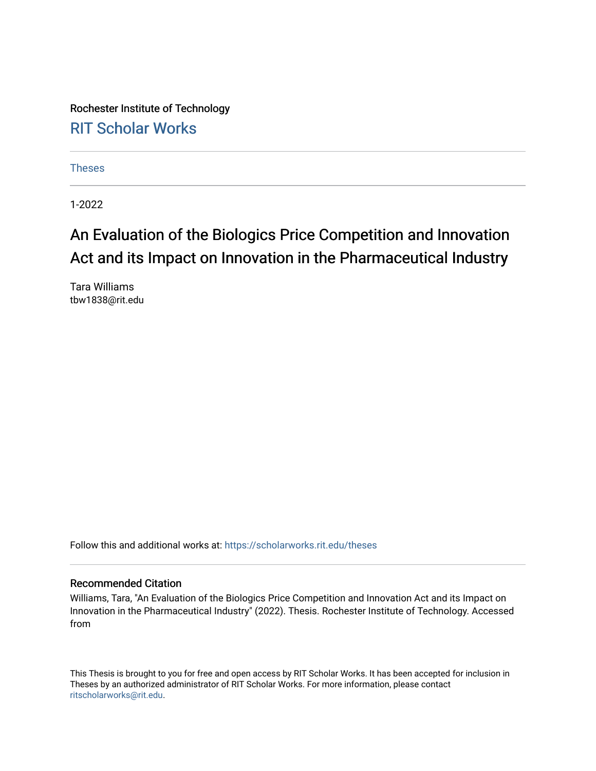Rochester Institute of Technology [RIT Scholar Works](https://scholarworks.rit.edu/)

[Theses](https://scholarworks.rit.edu/theses) 

1-2022

# An Evaluation of the Biologics Price Competition and Innovation Act and its Impact on Innovation in the Pharmaceutical Industry

Tara Williams tbw1838@rit.edu

Follow this and additional works at: [https://scholarworks.rit.edu/theses](https://scholarworks.rit.edu/theses?utm_source=scholarworks.rit.edu%2Ftheses%2F11077&utm_medium=PDF&utm_campaign=PDFCoverPages) 

#### Recommended Citation

Williams, Tara, "An Evaluation of the Biologics Price Competition and Innovation Act and its Impact on Innovation in the Pharmaceutical Industry" (2022). Thesis. Rochester Institute of Technology. Accessed from

This Thesis is brought to you for free and open access by RIT Scholar Works. It has been accepted for inclusion in Theses by an authorized administrator of RIT Scholar Works. For more information, please contact [ritscholarworks@rit.edu](mailto:ritscholarworks@rit.edu).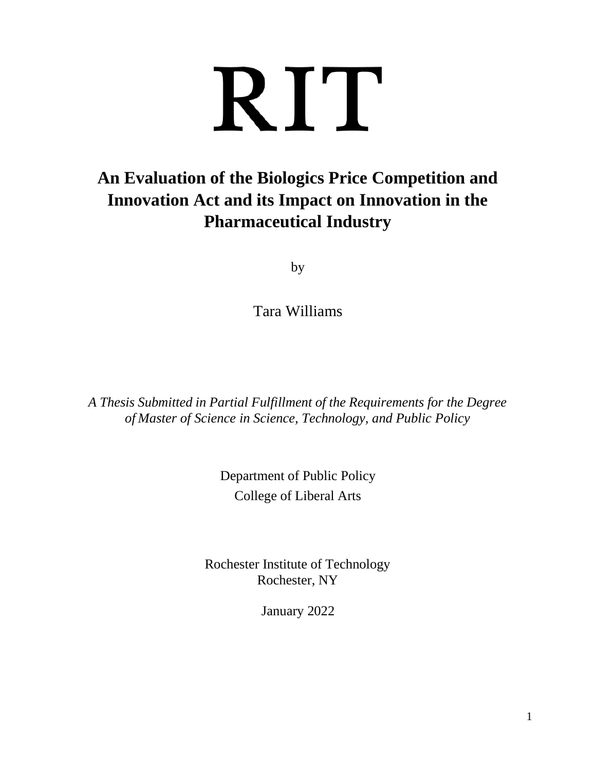# RIT

# **An Evaluation of the Biologics Price Competition and Innovation Act and its Impact on Innovation in the Pharmaceutical Industry**

by

Tara Williams

*A Thesis Submitted in Partial Fulfillment of the Requirements for the Degree of Master of Science in Science, Technology, and Public Policy*

> Department of Public Policy College of Liberal Arts

Rochester Institute of Technology Rochester, NY

January 2022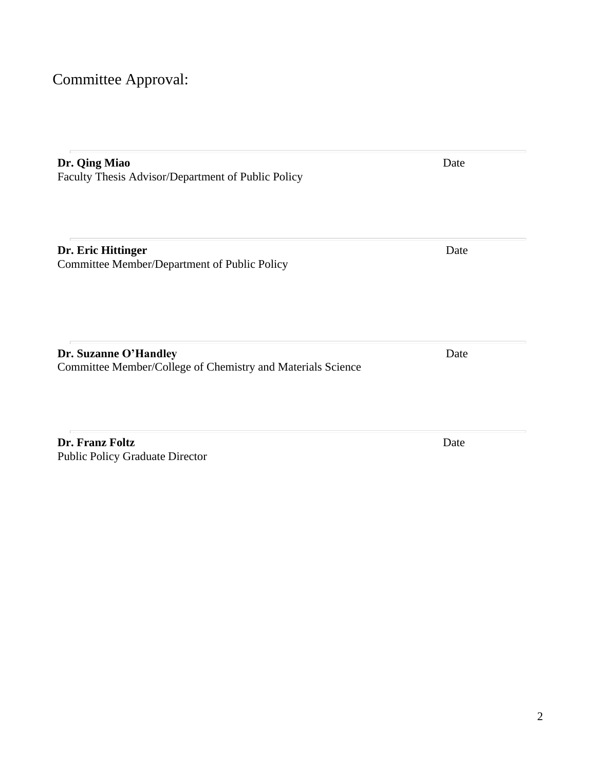# Committee Approval:

| Dr. Qing Miao<br>Faculty Thesis Advisor/Department of Public Policy                  | Date |
|--------------------------------------------------------------------------------------|------|
| Dr. Eric Hittinger<br>Committee Member/Department of Public Policy                   | Date |
| Dr. Suzanne O'Handley<br>Committee Member/College of Chemistry and Materials Science | Date |

**Dr. Franz Foltz** Date Public Policy Graduate Director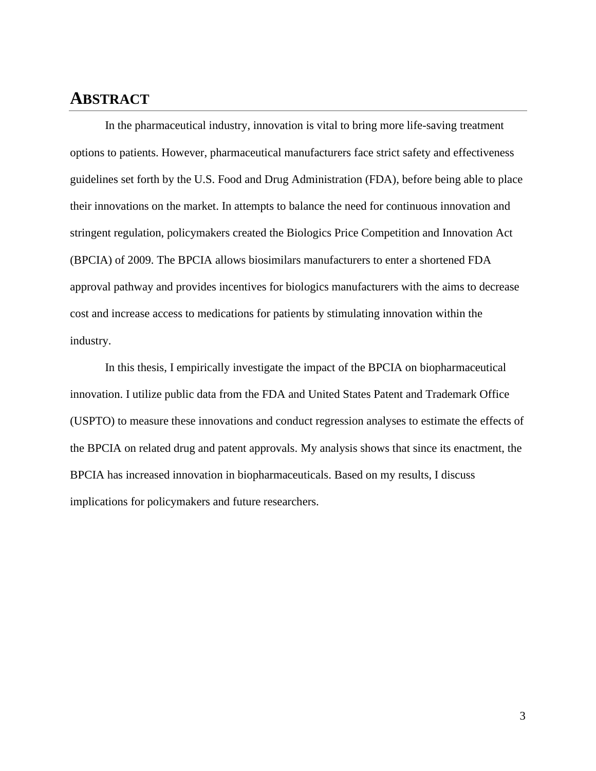## <span id="page-3-0"></span>**ABSTRACT**

In the pharmaceutical industry, innovation is vital to bring more life-saving treatment options to patients. However, pharmaceutical manufacturers face strict safety and effectiveness guidelines set forth by the U.S. Food and Drug Administration (FDA), before being able to place their innovations on the market. In attempts to balance the need for continuous innovation and stringent regulation, policymakers created the Biologics Price Competition and Innovation Act (BPCIA) of 2009. The BPCIA allows biosimilars manufacturers to enter a shortened FDA approval pathway and provides incentives for biologics manufacturers with the aims to decrease cost and increase access to medications for patients by stimulating innovation within the industry.

In this thesis, I empirically investigate the impact of the BPCIA on biopharmaceutical innovation. I utilize public data from the FDA and United States Patent and Trademark Office (USPTO) to measure these innovations and conduct regression analyses to estimate the effects of the BPCIA on related drug and patent approvals. My analysis shows that since its enactment, the BPCIA has increased innovation in biopharmaceuticals. Based on my results, I discuss implications for policymakers and future researchers.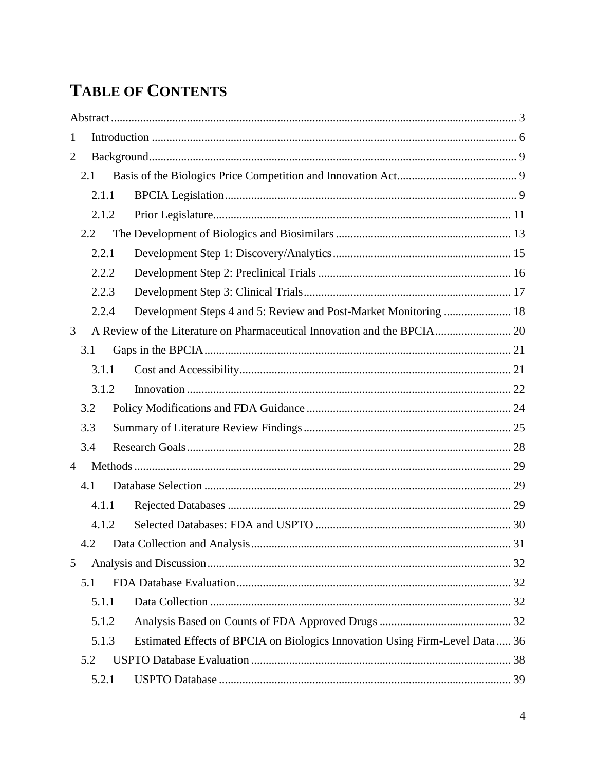# **TABLE OF CONTENTS**

| 1              |     |       |                                                                             |  |
|----------------|-----|-------|-----------------------------------------------------------------------------|--|
| $\overline{2}$ |     |       |                                                                             |  |
|                | 2.1 |       |                                                                             |  |
|                |     | 2.1.1 |                                                                             |  |
|                |     | 2.1.2 |                                                                             |  |
|                | 2.2 |       |                                                                             |  |
|                |     | 2.2.1 |                                                                             |  |
|                |     | 2.2.2 |                                                                             |  |
|                |     | 2.2.3 |                                                                             |  |
|                |     | 2.2.4 |                                                                             |  |
| 3              |     |       |                                                                             |  |
|                | 3.1 |       |                                                                             |  |
|                |     | 3.1.1 |                                                                             |  |
|                |     | 3.1.2 |                                                                             |  |
|                | 3.2 |       |                                                                             |  |
|                | 3.3 |       |                                                                             |  |
|                | 3.4 |       |                                                                             |  |
| $\overline{4}$ |     |       |                                                                             |  |
|                | 4.1 |       |                                                                             |  |
|                |     | 4.1.1 |                                                                             |  |
|                |     | 4.1.2 |                                                                             |  |
|                |     |       |                                                                             |  |
| 5              |     |       |                                                                             |  |
|                | 5.1 |       |                                                                             |  |
|                |     | 5.1.1 |                                                                             |  |
|                |     | 5.1.2 |                                                                             |  |
|                |     | 5.1.3 | Estimated Effects of BPCIA on Biologics Innovation Using Firm-Level Data 36 |  |
|                | 5.2 |       |                                                                             |  |
|                |     | 5.2.1 |                                                                             |  |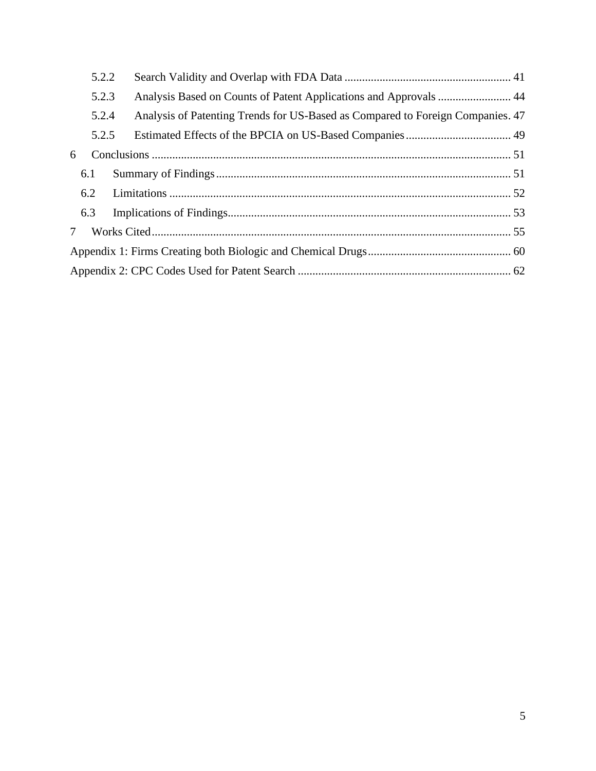|                | 5.2.2 |                                                                                |  |
|----------------|-------|--------------------------------------------------------------------------------|--|
|                | 5.2.3 |                                                                                |  |
|                | 5.2.4 | Analysis of Patenting Trends for US-Based as Compared to Foreign Companies. 47 |  |
|                | 5.2.5 |                                                                                |  |
| 6              |       |                                                                                |  |
|                | 6.1   |                                                                                |  |
|                | 6.2   |                                                                                |  |
|                | 6.3   |                                                                                |  |
| 7 <sup>7</sup> |       |                                                                                |  |
|                |       |                                                                                |  |
|                |       |                                                                                |  |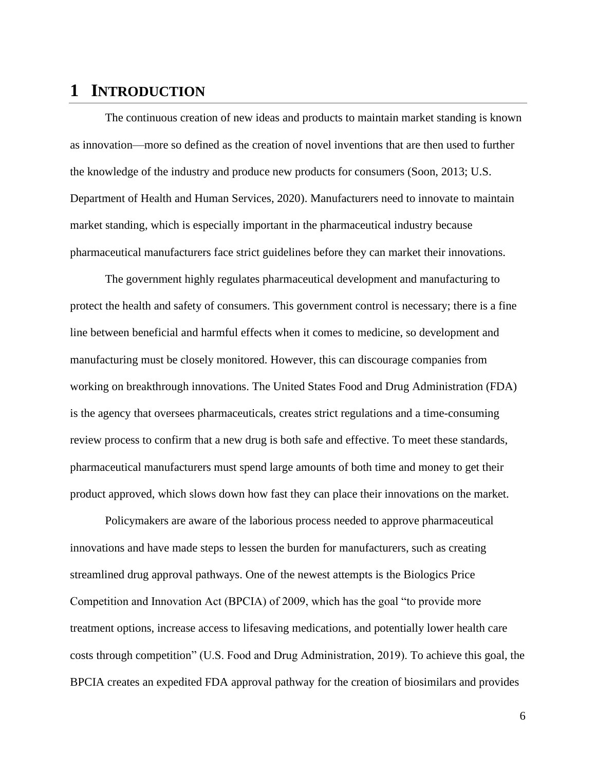## <span id="page-6-0"></span>**1 INTRODUCTION**

The continuous creation of new ideas and products to maintain market standing is known as innovation—more so defined as the creation of novel inventions that are then used to further the knowledge of the industry and produce new products for consumers (Soon, 2013; U.S. Department of Health and Human Services, 2020). Manufacturers need to innovate to maintain market standing, which is especially important in the pharmaceutical industry because pharmaceutical manufacturers face strict guidelines before they can market their innovations.

The government highly regulates pharmaceutical development and manufacturing to protect the health and safety of consumers. This government control is necessary; there is a fine line between beneficial and harmful effects when it comes to medicine, so development and manufacturing must be closely monitored. However, this can discourage companies from working on breakthrough innovations. The United States Food and Drug Administration (FDA) is the agency that oversees pharmaceuticals, creates strict regulations and a time-consuming review process to confirm that a new drug is both safe and effective. To meet these standards, pharmaceutical manufacturers must spend large amounts of both time and money to get their product approved, which slows down how fast they can place their innovations on the market.

Policymakers are aware of the laborious process needed to approve pharmaceutical innovations and have made steps to lessen the burden for manufacturers, such as creating streamlined drug approval pathways. One of the newest attempts is the Biologics Price Competition and Innovation Act (BPCIA) of 2009, which has the goal "to provide more treatment options, increase access to lifesaving medications, and potentially lower health care costs through competition" (U.S. Food and Drug Administration, 2019). To achieve this goal, the BPCIA creates an expedited FDA approval pathway for the creation of biosimilars and provides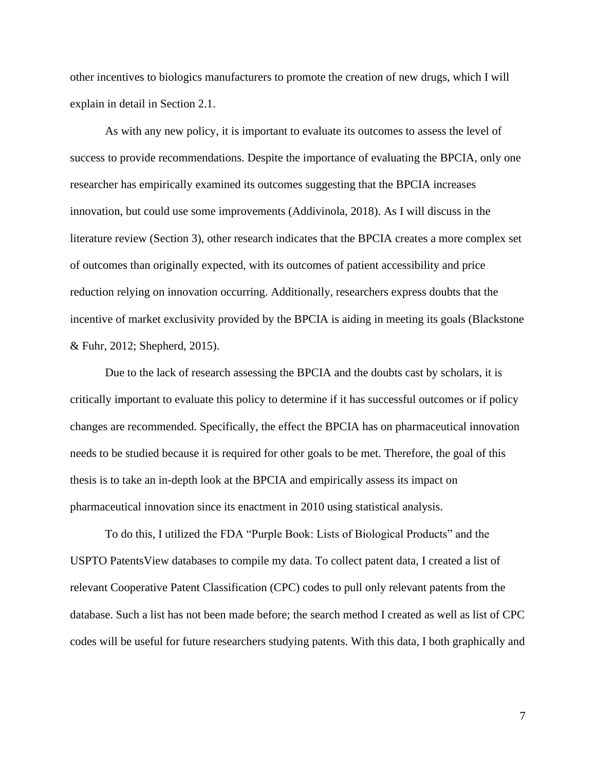other incentives to biologics manufacturers to promote the creation of new drugs, which I will explain in detail in Section 2.1.

As with any new policy, it is important to evaluate its outcomes to assess the level of success to provide recommendations. Despite the importance of evaluating the BPCIA, only one researcher has empirically examined its outcomes suggesting that the BPCIA increases innovation, but could use some improvements (Addivinola, 2018). As I will discuss in the literature review (Section 3), other research indicates that the BPCIA creates a more complex set of outcomes than originally expected, with its outcomes of patient accessibility and price reduction relying on innovation occurring. Additionally, researchers express doubts that the incentive of market exclusivity provided by the BPCIA is aiding in meeting its goals (Blackstone & Fuhr, 2012; Shepherd, 2015).

Due to the lack of research assessing the BPCIA and the doubts cast by scholars, it is critically important to evaluate this policy to determine if it has successful outcomes or if policy changes are recommended. Specifically, the effect the BPCIA has on pharmaceutical innovation needs to be studied because it is required for other goals to be met. Therefore, the goal of this thesis is to take an in-depth look at the BPCIA and empirically assess its impact on pharmaceutical innovation since its enactment in 2010 using statistical analysis.

To do this, I utilized the FDA "Purple Book: Lists of Biological Products" and the USPTO PatentsView databases to compile my data. To collect patent data, I created a list of relevant Cooperative Patent Classification (CPC) codes to pull only relevant patents from the database. Such a list has not been made before; the search method I created as well as list of CPC codes will be useful for future researchers studying patents. With this data, I both graphically and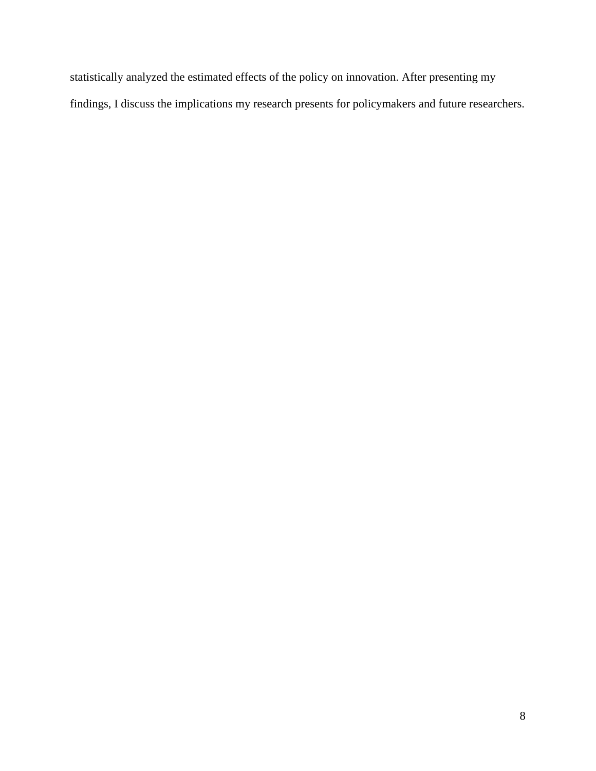statistically analyzed the estimated effects of the policy on innovation. After presenting my findings, I discuss the implications my research presents for policymakers and future researchers.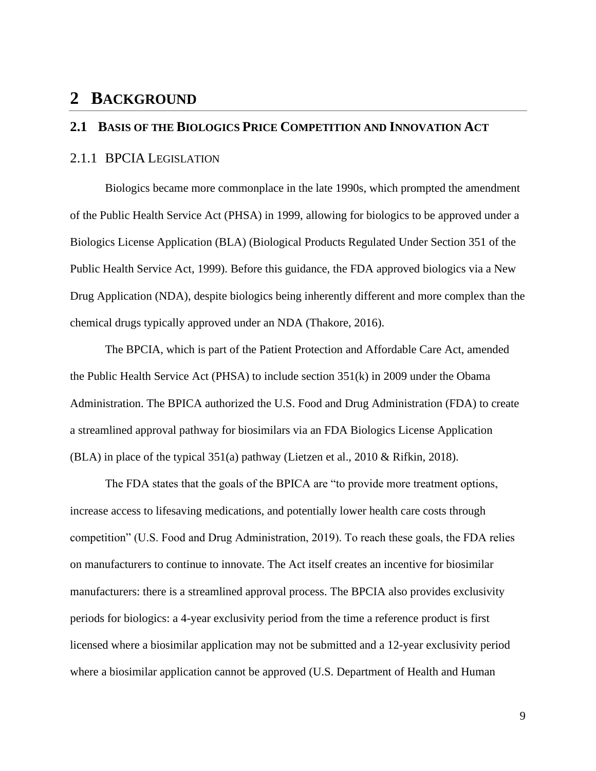## <span id="page-9-0"></span>**2 BACKGROUND**

## <span id="page-9-1"></span>**2.1 BASIS OF THE BIOLOGICS PRICE COMPETITION AND INNOVATION ACT**

#### <span id="page-9-2"></span>2.1.1 BPCIA LEGISLATION

Biologics became more commonplace in the late 1990s, which prompted the amendment of the Public Health Service Act (PHSA) in 1999, allowing for biologics to be approved under a Biologics License Application (BLA) (Biological Products Regulated Under Section 351 of the Public Health Service Act, 1999). Before this guidance, the FDA approved biologics via a New Drug Application (NDA), despite biologics being inherently different and more complex than the chemical drugs typically approved under an NDA (Thakore, 2016).

The BPCIA, which is part of the Patient Protection and Affordable Care Act, amended the Public Health Service Act (PHSA) to include section 351(k) in 2009 under the Obama Administration. The BPICA authorized the U.S. Food and Drug Administration (FDA) to create a streamlined approval pathway for biosimilars via an FDA Biologics License Application (BLA) in place of the typical 351(a) pathway (Lietzen et al., 2010 & Rifkin, 2018).

The FDA states that the goals of the BPICA are "to provide more treatment options, increase access to lifesaving medications, and potentially lower health care costs through competition" (U.S. Food and Drug Administration, 2019). To reach these goals, the FDA relies on manufacturers to continue to innovate. The Act itself creates an incentive for biosimilar manufacturers: there is a streamlined approval process. The BPCIA also provides exclusivity periods for biologics: a 4-year exclusivity period from the time a reference product is first licensed where a biosimilar application may not be submitted and a 12-year exclusivity period where a biosimilar application cannot be approved (U.S. Department of Health and Human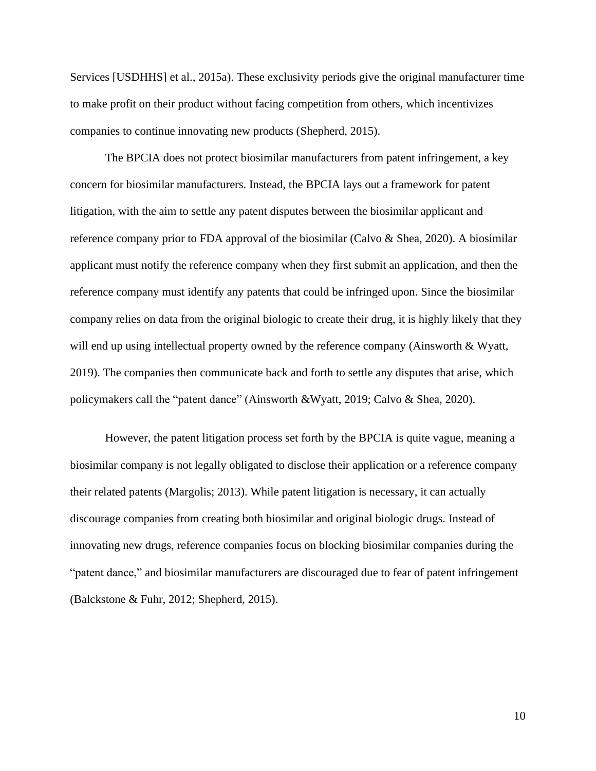Services [USDHHS] et al., 2015a). These exclusivity periods give the original manufacturer time to make profit on their product without facing competition from others, which incentivizes companies to continue innovating new products (Shepherd, 2015).

The BPCIA does not protect biosimilar manufacturers from patent infringement, a key concern for biosimilar manufacturers. Instead, the BPCIA lays out a framework for patent litigation, with the aim to settle any patent disputes between the biosimilar applicant and reference company prior to FDA approval of the biosimilar (Calvo & Shea, 2020). A biosimilar applicant must notify the reference company when they first submit an application, and then the reference company must identify any patents that could be infringed upon. Since the biosimilar company relies on data from the original biologic to create their drug, it is highly likely that they will end up using intellectual property owned by the reference company (Ainsworth & Wyatt, 2019). The companies then communicate back and forth to settle any disputes that arise, which policymakers call the "patent dance" (Ainsworth &Wyatt, 2019; Calvo & Shea, 2020).

However, the patent litigation process set forth by the BPCIA is quite vague, meaning a biosimilar company is not legally obligated to disclose their application or a reference company their related patents (Margolis; 2013). While patent litigation is necessary, it can actually discourage companies from creating both biosimilar and original biologic drugs. Instead of innovating new drugs, reference companies focus on blocking biosimilar companies during the "patent dance," and biosimilar manufacturers are discouraged due to fear of patent infringement (Balckstone & Fuhr, 2012; Shepherd, 2015).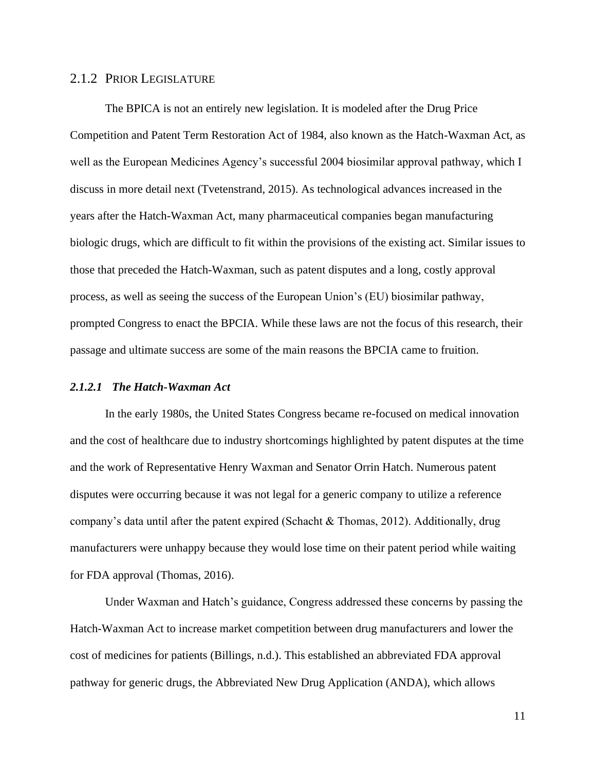## <span id="page-11-0"></span>2.1.2 PRIOR LEGISLATURE

The BPICA is not an entirely new legislation. It is modeled after the Drug Price Competition and Patent Term Restoration Act of 1984, also known as the Hatch-Waxman Act, as well as the European Medicines Agency's successful 2004 biosimilar approval pathway, which I discuss in more detail next (Tvetenstrand, 2015). As technological advances increased in the years after the Hatch-Waxman Act, many pharmaceutical companies began manufacturing biologic drugs, which are difficult to fit within the provisions of the existing act. Similar issues to those that preceded the Hatch-Waxman, such as patent disputes and a long, costly approval process, as well as seeing the success of the European Union's (EU) biosimilar pathway, prompted Congress to enact the BPCIA. While these laws are not the focus of this research, their passage and ultimate success are some of the main reasons the BPCIA came to fruition.

## *2.1.2.1 The Hatch-Waxman Act*

In the early 1980s, the United States Congress became re-focused on medical innovation and the cost of healthcare due to industry shortcomings highlighted by patent disputes at the time and the work of Representative Henry Waxman and Senator Orrin Hatch. Numerous patent disputes were occurring because it was not legal for a generic company to utilize a reference company's data until after the patent expired (Schacht & Thomas, 2012). Additionally, drug manufacturers were unhappy because they would lose time on their patent period while waiting for FDA approval (Thomas, 2016).

Under Waxman and Hatch's guidance, Congress addressed these concerns by passing the Hatch-Waxman Act to increase market competition between drug manufacturers and lower the cost of medicines for patients (Billings, n.d.). This established an abbreviated FDA approval pathway for generic drugs, the Abbreviated New Drug Application (ANDA), which allows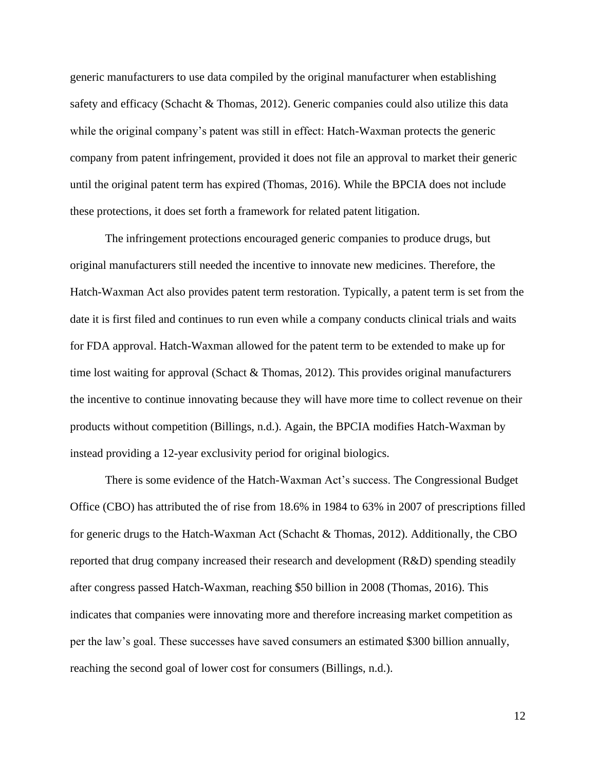generic manufacturers to use data compiled by the original manufacturer when establishing safety and efficacy (Schacht & Thomas, 2012). Generic companies could also utilize this data while the original company's patent was still in effect: Hatch-Waxman protects the generic company from patent infringement, provided it does not file an approval to market their generic until the original patent term has expired (Thomas, 2016). While the BPCIA does not include these protections, it does set forth a framework for related patent litigation.

The infringement protections encouraged generic companies to produce drugs, but original manufacturers still needed the incentive to innovate new medicines. Therefore, the Hatch-Waxman Act also provides patent term restoration. Typically, a patent term is set from the date it is first filed and continues to run even while a company conducts clinical trials and waits for FDA approval. Hatch-Waxman allowed for the patent term to be extended to make up for time lost waiting for approval (Schact & Thomas, 2012). This provides original manufacturers the incentive to continue innovating because they will have more time to collect revenue on their products without competition (Billings, n.d.). Again, the BPCIA modifies Hatch-Waxman by instead providing a 12-year exclusivity period for original biologics.

There is some evidence of the Hatch-Waxman Act's success. The Congressional Budget Office (CBO) has attributed the of rise from 18.6% in 1984 to 63% in 2007 of prescriptions filled for generic drugs to the Hatch-Waxman Act (Schacht & Thomas, 2012). Additionally, the CBO reported that drug company increased their research and development (R&D) spending steadily after congress passed Hatch-Waxman, reaching \$50 billion in 2008 (Thomas, 2016). This indicates that companies were innovating more and therefore increasing market competition as per the law's goal. These successes have saved consumers an estimated \$300 billion annually, reaching the second goal of lower cost for consumers (Billings, n.d.).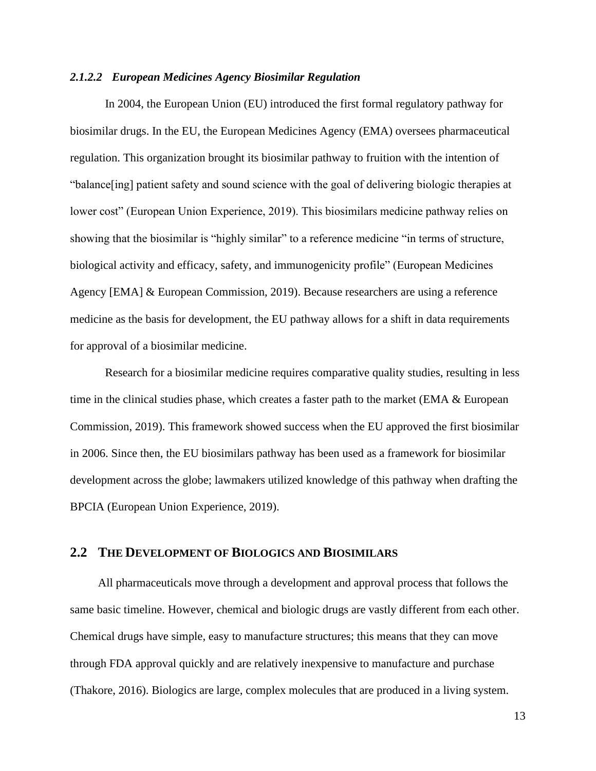#### *2.1.2.2 European Medicines Agency Biosimilar Regulation*

In 2004, the European Union (EU) introduced the first formal regulatory pathway for biosimilar drugs. In the EU, the European Medicines Agency (EMA) oversees pharmaceutical regulation. This organization brought its biosimilar pathway to fruition with the intention of "balance[ing] patient safety and sound science with the goal of delivering biologic therapies at lower cost" (European Union Experience, 2019). This biosimilars medicine pathway relies on showing that the biosimilar is "highly similar" to a reference medicine "in terms of structure, biological activity and efficacy, safety, and immunogenicity profile" (European Medicines Agency [EMA] & European Commission, 2019). Because researchers are using a reference medicine as the basis for development, the EU pathway allows for a shift in data requirements for approval of a biosimilar medicine.

Research for a biosimilar medicine requires comparative quality studies, resulting in less time in the clinical studies phase, which creates a faster path to the market (EMA  $\&$  European Commission, 2019). This framework showed success when the EU approved the first biosimilar in 2006. Since then, the EU biosimilars pathway has been used as a framework for biosimilar development across the globe; lawmakers utilized knowledge of this pathway when drafting the BPCIA (European Union Experience, 2019).

#### <span id="page-13-0"></span>**2.2 THE DEVELOPMENT OF BIOLOGICS AND BIOSIMILARS**

All pharmaceuticals move through a development and approval process that follows the same basic timeline. However, chemical and biologic drugs are vastly different from each other. Chemical drugs have simple, easy to manufacture structures; this means that they can move through FDA approval quickly and are relatively inexpensive to manufacture and purchase (Thakore, 2016). Biologics are large, complex molecules that are produced in a living system.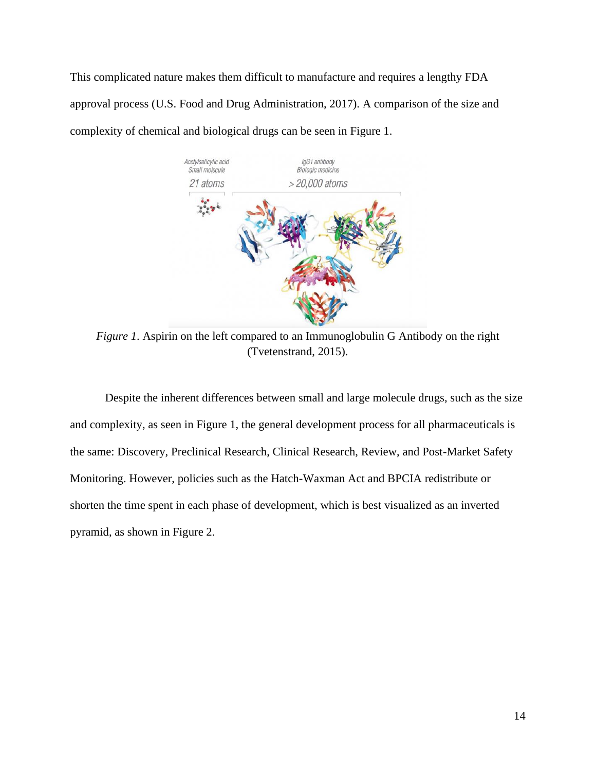This complicated nature makes them difficult to manufacture and requires a lengthy FDA approval process (U.S. Food and Drug Administration, 2017). A comparison of the size and complexity of chemical and biological drugs can be seen in Figure 1.



*Figure 1*. Aspirin on the left compared to an Immunoglobulin G Antibody on the right (Tvetenstrand, 2015).

Despite the inherent differences between small and large molecule drugs, such as the size and complexity, as seen in Figure 1, the general development process for all pharmaceuticals is the same: Discovery, Preclinical Research, Clinical Research, Review, and Post-Market Safety Monitoring. However, policies such as the Hatch-Waxman Act and BPCIA redistribute or shorten the time spent in each phase of development, which is best visualized as an inverted pyramid, as shown in Figure 2.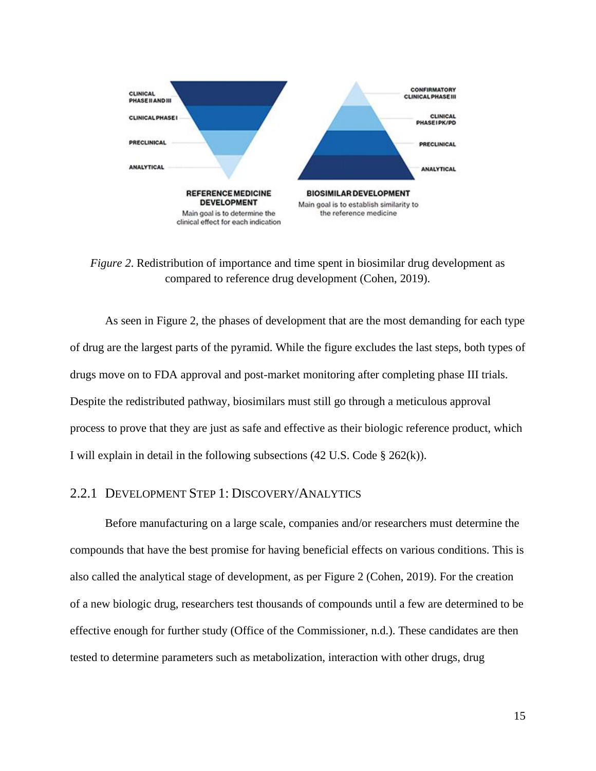

*Figure 2.* Redistribution of importance and time spent in biosimilar drug development as compared to reference drug development (Cohen, 2019).

As seen in Figure 2, the phases of development that are the most demanding for each type of drug are the largest parts of the pyramid. While the figure excludes the last steps, both types of drugs move on to FDA approval and post-market monitoring after completing phase III trials. Despite the redistributed pathway, biosimilars must still go through a meticulous approval process to prove that they are just as safe and effective as their biologic reference product, which I will explain in detail in the following subsections (42 U.S. Code § 262(k)).

## <span id="page-15-0"></span>2.2.1 DEVELOPMENT STEP 1: DISCOVERY/ANALYTICS

Before manufacturing on a large scale, companies and/or researchers must determine the compounds that have the best promise for having beneficial effects on various conditions. This is also called the analytical stage of development, as per Figure 2 (Cohen, 2019). For the creation of a new biologic drug, researchers test thousands of compounds until a few are determined to be effective enough for further study (Office of the Commissioner, n.d.). These candidates are then tested to determine parameters such as metabolization, interaction with other drugs, drug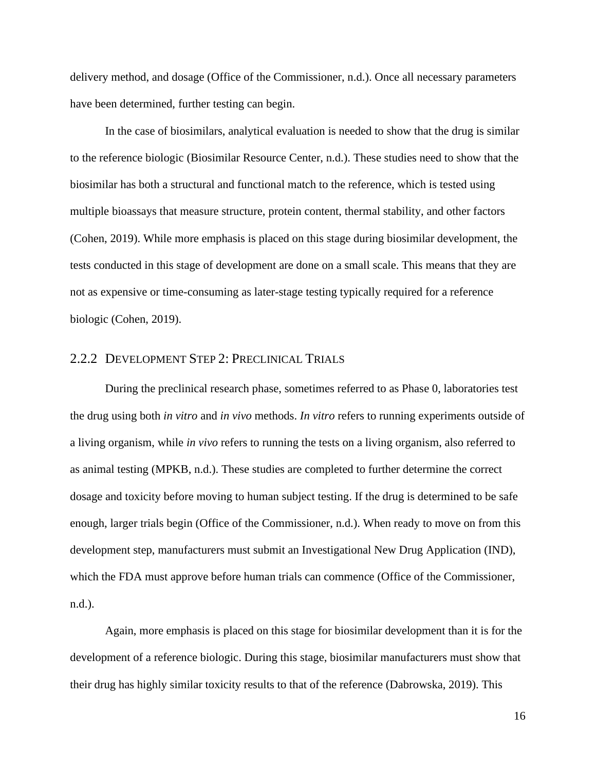delivery method, and dosage (Office of the Commissioner, n.d.). Once all necessary parameters have been determined, further testing can begin.

In the case of biosimilars, analytical evaluation is needed to show that the drug is similar to the reference biologic (Biosimilar Resource Center, n.d.). These studies need to show that the biosimilar has both a structural and functional match to the reference, which is tested using multiple bioassays that measure structure, protein content, thermal stability, and other factors (Cohen, 2019). While more emphasis is placed on this stage during biosimilar development, the tests conducted in this stage of development are done on a small scale. This means that they are not as expensive or time-consuming as later-stage testing typically required for a reference biologic (Cohen, 2019).

## <span id="page-16-0"></span>2.2.2 DEVELOPMENT STEP 2: PRECLINICAL TRIALS

During the preclinical research phase, sometimes referred to as Phase 0, laboratories test the drug using both *in vitro* and *in vivo* methods. *In vitro* refers to running experiments outside of a living organism, while *in vivo* refers to running the tests on a living organism, also referred to as animal testing (MPKB, n.d.). These studies are completed to further determine the correct dosage and toxicity before moving to human subject testing. If the drug is determined to be safe enough, larger trials begin (Office of the Commissioner, n.d.). When ready to move on from this development step, manufacturers must submit an Investigational New Drug Application (IND), which the FDA must approve before human trials can commence (Office of the Commissioner, n.d.).

Again, more emphasis is placed on this stage for biosimilar development than it is for the development of a reference biologic. During this stage, biosimilar manufacturers must show that their drug has highly similar toxicity results to that of the reference (Dabrowska, 2019). This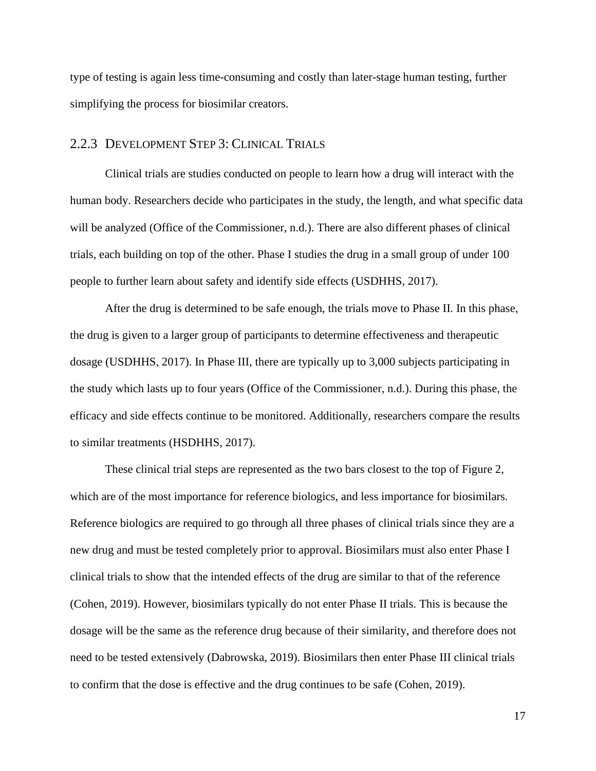type of testing is again less time-consuming and costly than later-stage human testing, further simplifying the process for biosimilar creators.

## <span id="page-17-0"></span>2.2.3 DEVELOPMENT STEP 3: CLINICAL TRIALS

Clinical trials are studies conducted on people to learn how a drug will interact with the human body. Researchers decide who participates in the study, the length, and what specific data will be analyzed (Office of the Commissioner, n.d.). There are also different phases of clinical trials, each building on top of the other. Phase I studies the drug in a small group of under 100 people to further learn about safety and identify side effects (USDHHS, 2017).

After the drug is determined to be safe enough, the trials move to Phase II. In this phase, the drug is given to a larger group of participants to determine effectiveness and therapeutic dosage (USDHHS, 2017). In Phase III, there are typically up to 3,000 subjects participating in the study which lasts up to four years (Office of the Commissioner, n.d.). During this phase, the efficacy and side effects continue to be monitored. Additionally, researchers compare the results to similar treatments (HSDHHS, 2017).

These clinical trial steps are represented as the two bars closest to the top of Figure 2, which are of the most importance for reference biologics, and less importance for biosimilars. Reference biologics are required to go through all three phases of clinical trials since they are a new drug and must be tested completely prior to approval. Biosimilars must also enter Phase I clinical trials to show that the intended effects of the drug are similar to that of the reference (Cohen, 2019). However, biosimilars typically do not enter Phase II trials. This is because the dosage will be the same as the reference drug because of their similarity, and therefore does not need to be tested extensively (Dabrowska, 2019). Biosimilars then enter Phase III clinical trials to confirm that the dose is effective and the drug continues to be safe (Cohen, 2019).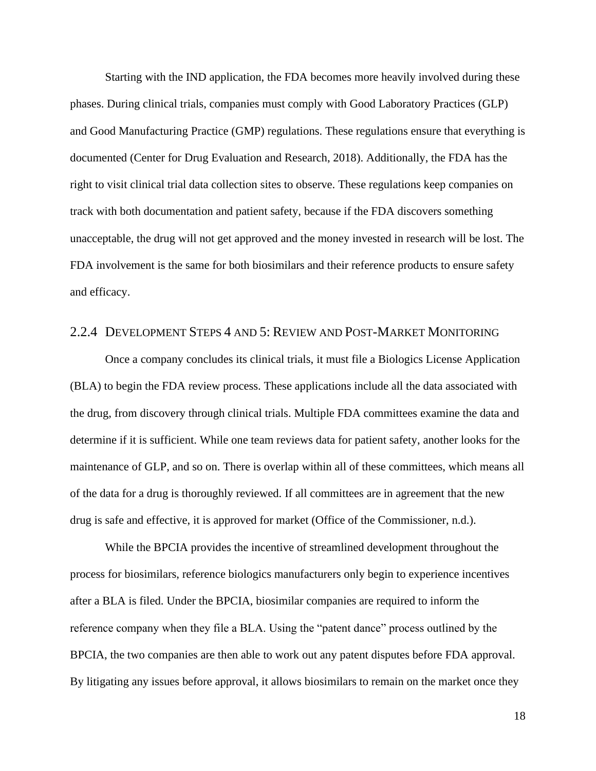Starting with the IND application, the FDA becomes more heavily involved during these phases. During clinical trials, companies must comply with Good Laboratory Practices (GLP) and Good Manufacturing Practice (GMP) regulations. These regulations ensure that everything is documented (Center for Drug Evaluation and Research, 2018). Additionally, the FDA has the right to visit clinical trial data collection sites to observe. These regulations keep companies on track with both documentation and patient safety, because if the FDA discovers something unacceptable, the drug will not get approved and the money invested in research will be lost. The FDA involvement is the same for both biosimilars and their reference products to ensure safety and efficacy.

## <span id="page-18-0"></span>2.2.4 DEVELOPMENT STEPS 4 AND 5: REVIEW AND POST-MARKET MONITORING

Once a company concludes its clinical trials, it must file a Biologics License Application (BLA) to begin the FDA review process. These applications include all the data associated with the drug, from discovery through clinical trials. Multiple FDA committees examine the data and determine if it is sufficient. While one team reviews data for patient safety, another looks for the maintenance of GLP, and so on. There is overlap within all of these committees, which means all of the data for a drug is thoroughly reviewed. If all committees are in agreement that the new drug is safe and effective, it is approved for market (Office of the Commissioner, n.d.).

While the BPCIA provides the incentive of streamlined development throughout the process for biosimilars, reference biologics manufacturers only begin to experience incentives after a BLA is filed. Under the BPCIA, biosimilar companies are required to inform the reference company when they file a BLA. Using the "patent dance" process outlined by the BPCIA, the two companies are then able to work out any patent disputes before FDA approval. By litigating any issues before approval, it allows biosimilars to remain on the market once they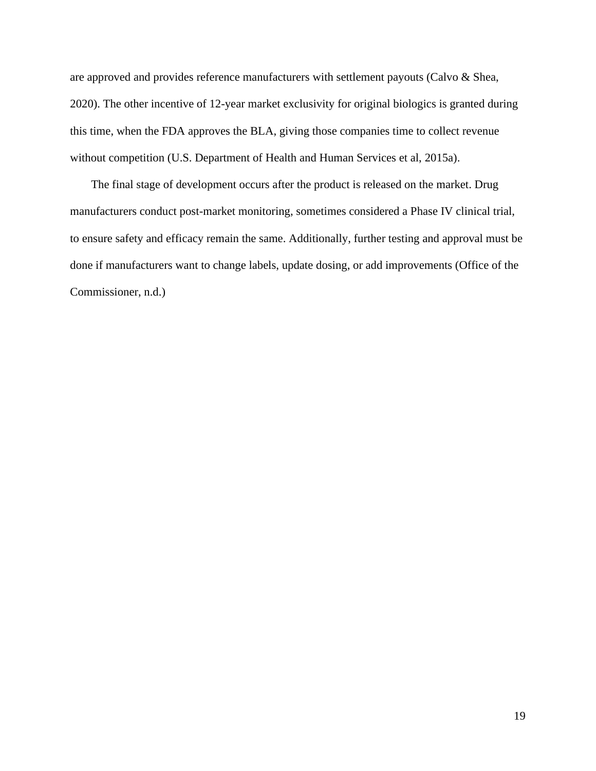are approved and provides reference manufacturers with settlement payouts (Calvo & Shea, 2020). The other incentive of 12-year market exclusivity for original biologics is granted during this time, when the FDA approves the BLA, giving those companies time to collect revenue without competition (U.S. Department of Health and Human Services et al, 2015a).

The final stage of development occurs after the product is released on the market. Drug manufacturers conduct post-market monitoring, sometimes considered a Phase IV clinical trial, to ensure safety and efficacy remain the same. Additionally, further testing and approval must be done if manufacturers want to change labels, update dosing, or add improvements (Office of the Commissioner, n.d.)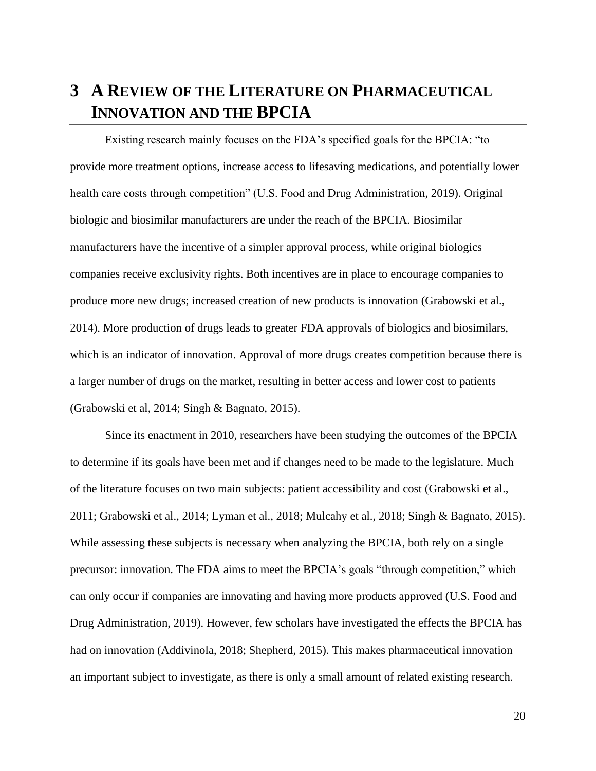## <span id="page-20-0"></span>**3 A REVIEW OF THE LITERATURE ON PHARMACEUTICAL INNOVATION AND THE BPCIA**

Existing research mainly focuses on the FDA's specified goals for the BPCIA: "to provide more treatment options, increase access to lifesaving medications, and potentially lower health care costs through competition" (U.S. Food and Drug Administration, 2019). Original biologic and biosimilar manufacturers are under the reach of the BPCIA. Biosimilar manufacturers have the incentive of a simpler approval process, while original biologics companies receive exclusivity rights. Both incentives are in place to encourage companies to produce more new drugs; increased creation of new products is innovation (Grabowski et al., 2014). More production of drugs leads to greater FDA approvals of biologics and biosimilars, which is an indicator of innovation. Approval of more drugs creates competition because there is a larger number of drugs on the market, resulting in better access and lower cost to patients (Grabowski et al, 2014; Singh & Bagnato, 2015).

Since its enactment in 2010, researchers have been studying the outcomes of the BPCIA to determine if its goals have been met and if changes need to be made to the legislature. Much of the literature focuses on two main subjects: patient accessibility and cost (Grabowski et al., 2011; Grabowski et al., 2014; Lyman et al., 2018; Mulcahy et al., 2018; Singh & Bagnato, 2015). While assessing these subjects is necessary when analyzing the BPCIA, both rely on a single precursor: innovation. The FDA aims to meet the BPCIA's goals "through competition," which can only occur if companies are innovating and having more products approved (U.S. Food and Drug Administration, 2019). However, few scholars have investigated the effects the BPCIA has had on innovation (Addivinola, 2018; Shepherd, 2015). This makes pharmaceutical innovation an important subject to investigate, as there is only a small amount of related existing research.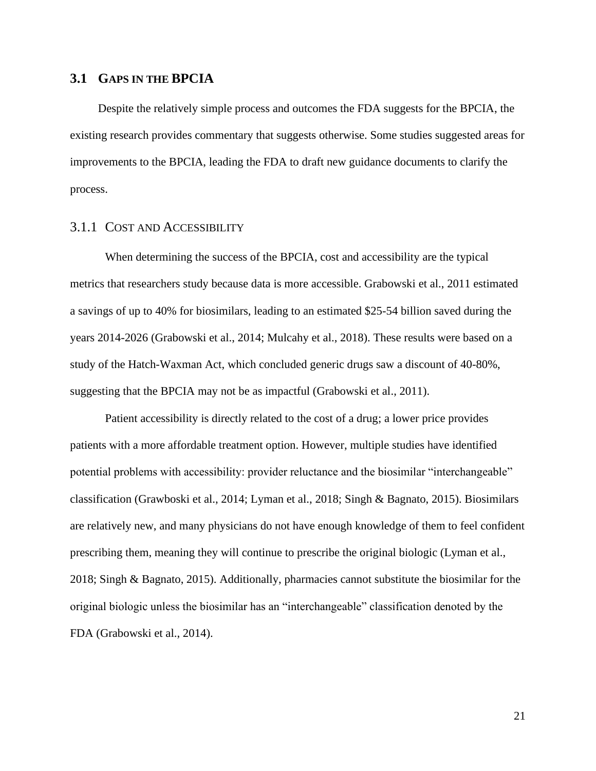## <span id="page-21-0"></span>**3.1 GAPS IN THE BPCIA**

Despite the relatively simple process and outcomes the FDA suggests for the BPCIA, the existing research provides commentary that suggests otherwise. Some studies suggested areas for improvements to the BPCIA, leading the FDA to draft new guidance documents to clarify the process.

## <span id="page-21-1"></span>3.1.1 COST AND ACCESSIBILITY

When determining the success of the BPCIA, cost and accessibility are the typical metrics that researchers study because data is more accessible. Grabowski et al., 2011 estimated a savings of up to 40% for biosimilars, leading to an estimated \$25-54 billion saved during the years 2014-2026 (Grabowski et al., 2014; Mulcahy et al., 2018). These results were based on a study of the Hatch-Waxman Act, which concluded generic drugs saw a discount of 40-80%, suggesting that the BPCIA may not be as impactful (Grabowski et al., 2011).

Patient accessibility is directly related to the cost of a drug; a lower price provides patients with a more affordable treatment option. However, multiple studies have identified potential problems with accessibility: provider reluctance and the biosimilar "interchangeable" classification (Grawboski et al., 2014; Lyman et al., 2018; Singh & Bagnato, 2015). Biosimilars are relatively new, and many physicians do not have enough knowledge of them to feel confident prescribing them, meaning they will continue to prescribe the original biologic (Lyman et al., 2018; Singh & Bagnato, 2015). Additionally, pharmacies cannot substitute the biosimilar for the original biologic unless the biosimilar has an "interchangeable" classification denoted by the FDA (Grabowski et al., 2014).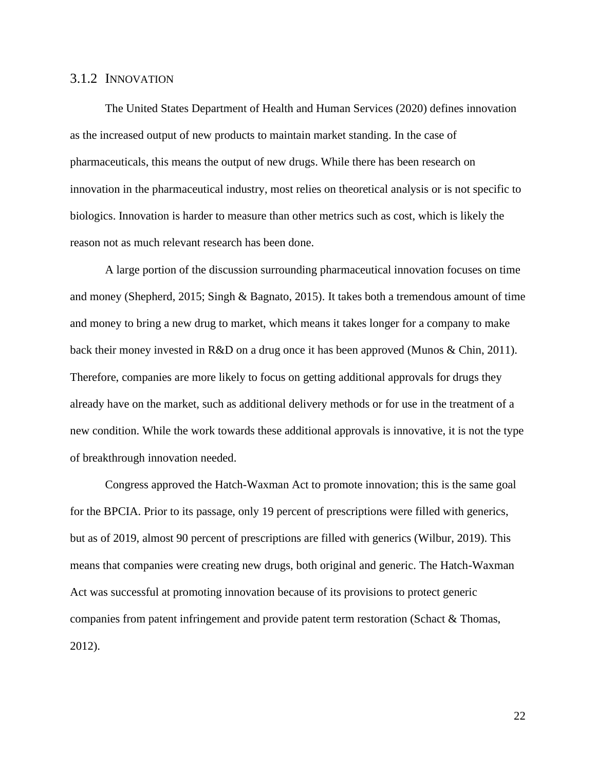## <span id="page-22-0"></span>3.1.2 INNOVATION

The United States Department of Health and Human Services (2020) defines innovation as the increased output of new products to maintain market standing. In the case of pharmaceuticals, this means the output of new drugs. While there has been research on innovation in the pharmaceutical industry, most relies on theoretical analysis or is not specific to biologics. Innovation is harder to measure than other metrics such as cost, which is likely the reason not as much relevant research has been done.

A large portion of the discussion surrounding pharmaceutical innovation focuses on time and money (Shepherd, 2015; Singh & Bagnato, 2015). It takes both a tremendous amount of time and money to bring a new drug to market, which means it takes longer for a company to make back their money invested in R&D on a drug once it has been approved (Munos & Chin, 2011). Therefore, companies are more likely to focus on getting additional approvals for drugs they already have on the market, such as additional delivery methods or for use in the treatment of a new condition. While the work towards these additional approvals is innovative, it is not the type of breakthrough innovation needed.

Congress approved the Hatch-Waxman Act to promote innovation; this is the same goal for the BPCIA. Prior to its passage, only 19 percent of prescriptions were filled with generics, but as of 2019, almost 90 percent of prescriptions are filled with generics (Wilbur, 2019). This means that companies were creating new drugs, both original and generic. The Hatch-Waxman Act was successful at promoting innovation because of its provisions to protect generic companies from patent infringement and provide patent term restoration (Schact & Thomas, 2012).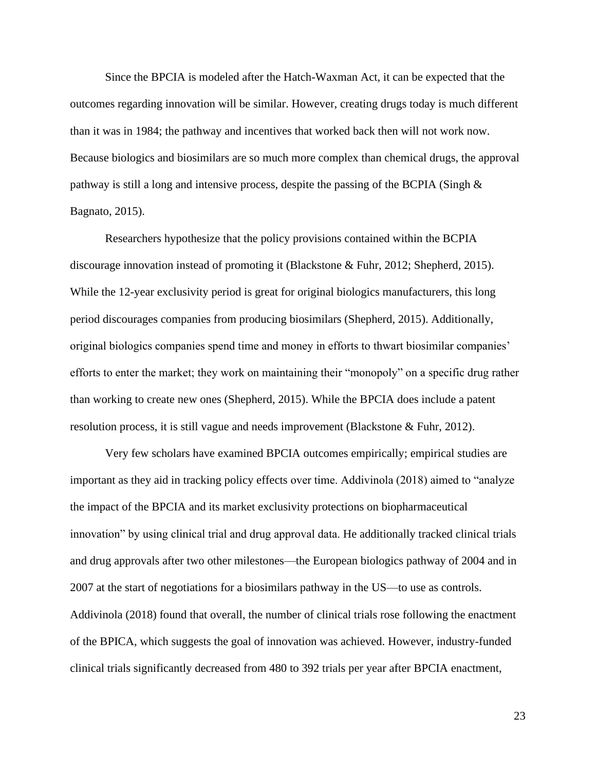Since the BPCIA is modeled after the Hatch-Waxman Act, it can be expected that the outcomes regarding innovation will be similar. However, creating drugs today is much different than it was in 1984; the pathway and incentives that worked back then will not work now. Because biologics and biosimilars are so much more complex than chemical drugs, the approval pathway is still a long and intensive process, despite the passing of the BCPIA (Singh & Bagnato, 2015).

Researchers hypothesize that the policy provisions contained within the BCPIA discourage innovation instead of promoting it (Blackstone & Fuhr, 2012; Shepherd, 2015). While the 12-year exclusivity period is great for original biologics manufacturers, this long period discourages companies from producing biosimilars (Shepherd, 2015). Additionally, original biologics companies spend time and money in efforts to thwart biosimilar companies' efforts to enter the market; they work on maintaining their "monopoly" on a specific drug rather than working to create new ones (Shepherd, 2015). While the BPCIA does include a patent resolution process, it is still vague and needs improvement (Blackstone & Fuhr, 2012).

Very few scholars have examined BPCIA outcomes empirically; empirical studies are important as they aid in tracking policy effects over time. Addivinola (2018) aimed to "analyze the impact of the BPCIA and its market exclusivity protections on biopharmaceutical innovation" by using clinical trial and drug approval data. He additionally tracked clinical trials and drug approvals after two other milestones—the European biologics pathway of 2004 and in 2007 at the start of negotiations for a biosimilars pathway in the US—to use as controls. Addivinola (2018) found that overall, the number of clinical trials rose following the enactment of the BPICA, which suggests the goal of innovation was achieved. However, industry-funded clinical trials significantly decreased from 480 to 392 trials per year after BPCIA enactment,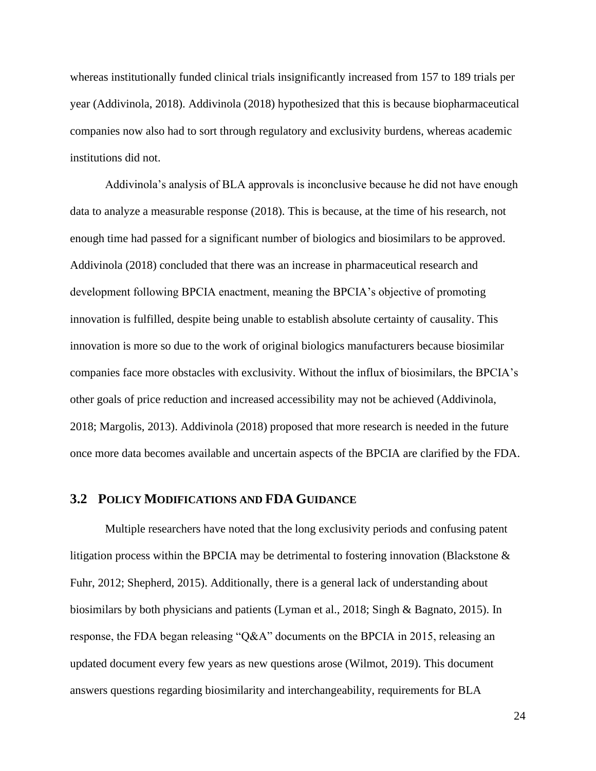whereas institutionally funded clinical trials insignificantly increased from 157 to 189 trials per year (Addivinola, 2018). Addivinola (2018) hypothesized that this is because biopharmaceutical companies now also had to sort through regulatory and exclusivity burdens, whereas academic institutions did not.

Addivinola's analysis of BLA approvals is inconclusive because he did not have enough data to analyze a measurable response (2018). This is because, at the time of his research, not enough time had passed for a significant number of biologics and biosimilars to be approved. Addivinola (2018) concluded that there was an increase in pharmaceutical research and development following BPCIA enactment, meaning the BPCIA's objective of promoting innovation is fulfilled, despite being unable to establish absolute certainty of causality. This innovation is more so due to the work of original biologics manufacturers because biosimilar companies face more obstacles with exclusivity. Without the influx of biosimilars, the BPCIA's other goals of price reduction and increased accessibility may not be achieved (Addivinola, 2018; Margolis, 2013). Addivinola (2018) proposed that more research is needed in the future once more data becomes available and uncertain aspects of the BPCIA are clarified by the FDA.

## <span id="page-24-0"></span>**3.2 POLICY MODIFICATIONS AND FDA GUIDANCE**

Multiple researchers have noted that the long exclusivity periods and confusing patent litigation process within the BPCIA may be detrimental to fostering innovation (Blackstone & Fuhr, 2012; Shepherd, 2015). Additionally, there is a general lack of understanding about biosimilars by both physicians and patients (Lyman et al., 2018; Singh & Bagnato, 2015). In response, the FDA began releasing "Q&A" documents on the BPCIA in 2015, releasing an updated document every few years as new questions arose (Wilmot, 2019). This document answers questions regarding biosimilarity and interchangeability, requirements for BLA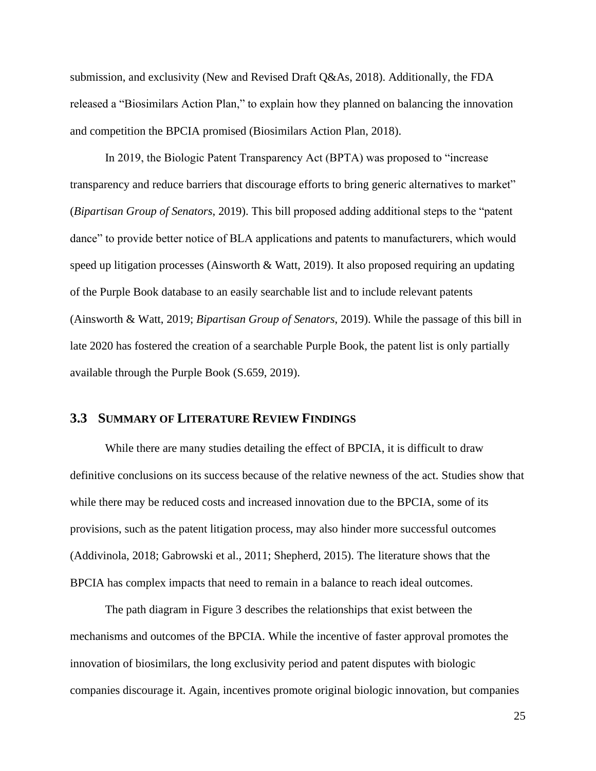submission, and exclusivity (New and Revised Draft Q&As, 2018). Additionally, the FDA released a "Biosimilars Action Plan," to explain how they planned on balancing the innovation and competition the BPCIA promised (Biosimilars Action Plan, 2018).

In 2019, the Biologic Patent Transparency Act (BPTA) was proposed to "increase transparency and reduce barriers that discourage efforts to bring generic alternatives to market" (*Bipartisan Group of Senators*, 2019). This bill proposed adding additional steps to the "patent dance" to provide better notice of BLA applications and patents to manufacturers, which would speed up litigation processes (Ainsworth & Watt, 2019). It also proposed requiring an updating of the Purple Book database to an easily searchable list and to include relevant patents (Ainsworth & Watt, 2019; *Bipartisan Group of Senators*, 2019). While the passage of this bill in late 2020 has fostered the creation of a searchable Purple Book, the patent list is only partially available through the Purple Book (S.659, 2019).

## <span id="page-25-0"></span>**3.3 SUMMARY OF LITERATURE REVIEW FINDINGS**

While there are many studies detailing the effect of BPCIA, it is difficult to draw definitive conclusions on its success because of the relative newness of the act. Studies show that while there may be reduced costs and increased innovation due to the BPCIA, some of its provisions, such as the patent litigation process, may also hinder more successful outcomes (Addivinola, 2018; Gabrowski et al., 2011; Shepherd, 2015). The literature shows that the BPCIA has complex impacts that need to remain in a balance to reach ideal outcomes.

The path diagram in Figure 3 describes the relationships that exist between the mechanisms and outcomes of the BPCIA. While the incentive of faster approval promotes the innovation of biosimilars, the long exclusivity period and patent disputes with biologic companies discourage it. Again, incentives promote original biologic innovation, but companies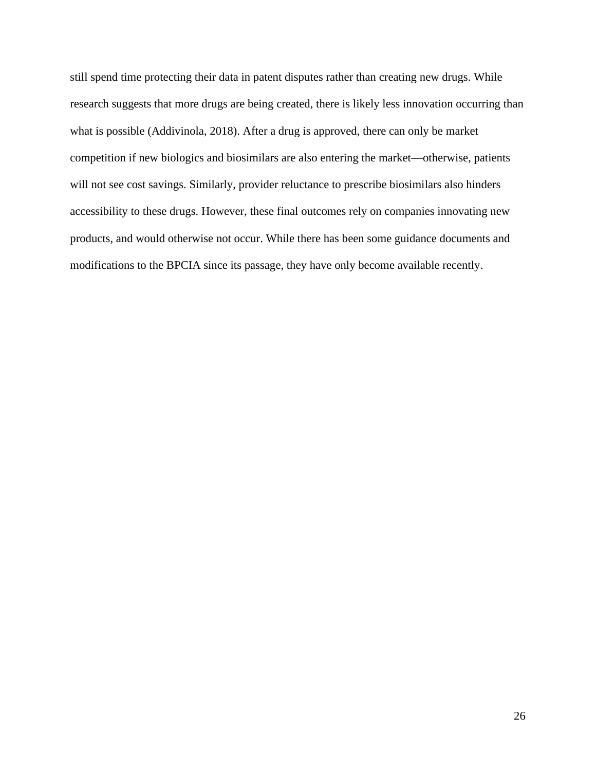still spend time protecting their data in patent disputes rather than creating new drugs. While research suggests that more drugs are being created, there is likely less innovation occurring than what is possible (Addivinola, 2018). After a drug is approved, there can only be market competition if new biologics and biosimilars are also entering the market—otherwise, patients will not see cost savings. Similarly, provider reluctance to prescribe biosimilars also hinders accessibility to these drugs. However, these final outcomes rely on companies innovating new products, and would otherwise not occur. While there has been some guidance documents and modifications to the BPCIA since its passage, they have only become available recently.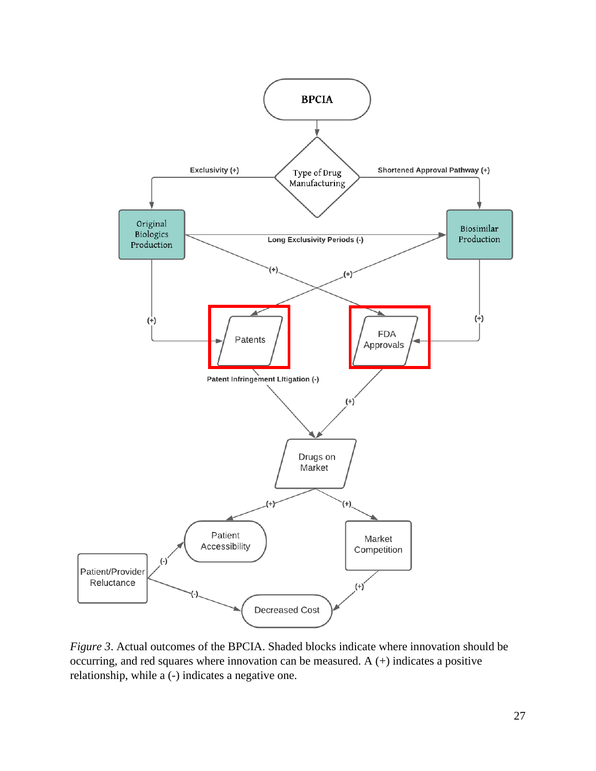

*Figure 3*. Actual outcomes of the BPCIA. Shaded blocks indicate where innovation should be occurring, and red squares where innovation can be measured. A (+) indicates a positive relationship, while a (-) indicates a negative one.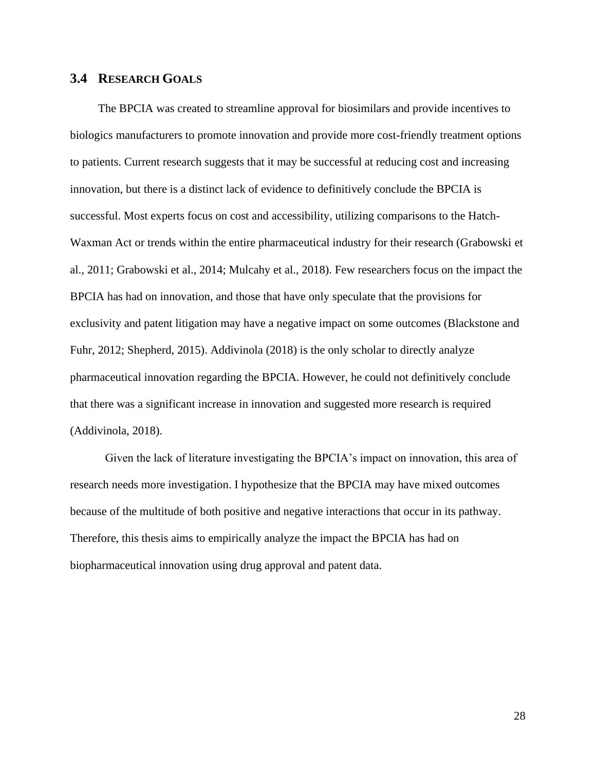## <span id="page-28-0"></span>**3.4 RESEARCH GOALS**

The BPCIA was created to streamline approval for biosimilars and provide incentives to biologics manufacturers to promote innovation and provide more cost-friendly treatment options to patients. Current research suggests that it may be successful at reducing cost and increasing innovation, but there is a distinct lack of evidence to definitively conclude the BPCIA is successful. Most experts focus on cost and accessibility, utilizing comparisons to the Hatch-Waxman Act or trends within the entire pharmaceutical industry for their research (Grabowski et al., 2011; Grabowski et al., 2014; Mulcahy et al., 2018). Few researchers focus on the impact the BPCIA has had on innovation, and those that have only speculate that the provisions for exclusivity and patent litigation may have a negative impact on some outcomes (Blackstone and Fuhr, 2012; Shepherd, 2015). Addivinola (2018) is the only scholar to directly analyze pharmaceutical innovation regarding the BPCIA. However, he could not definitively conclude that there was a significant increase in innovation and suggested more research is required (Addivinola, 2018).

Given the lack of literature investigating the BPCIA's impact on innovation, this area of research needs more investigation. I hypothesize that the BPCIA may have mixed outcomes because of the multitude of both positive and negative interactions that occur in its pathway. Therefore, this thesis aims to empirically analyze the impact the BPCIA has had on biopharmaceutical innovation using drug approval and patent data.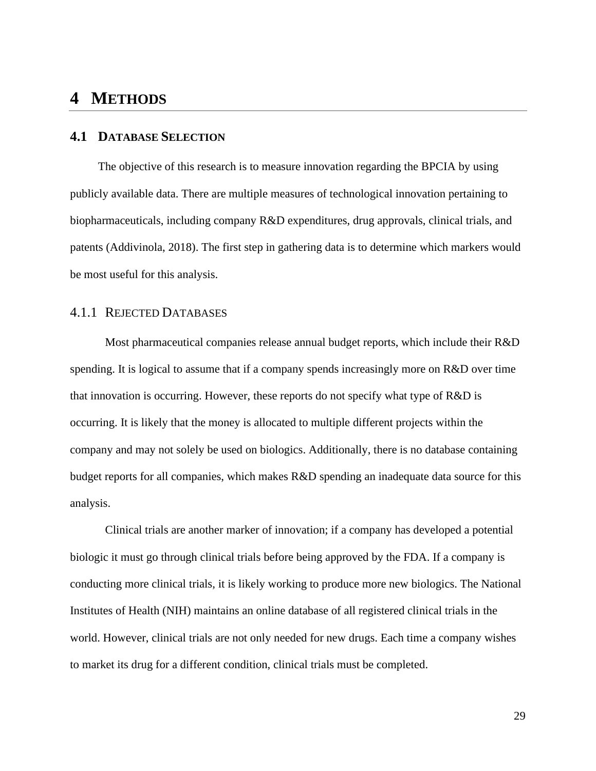## <span id="page-29-0"></span>**4 METHODS**

## <span id="page-29-1"></span>**4.1 DATABASE SELECTION**

The objective of this research is to measure innovation regarding the BPCIA by using publicly available data. There are multiple measures of technological innovation pertaining to biopharmaceuticals, including company R&D expenditures, drug approvals, clinical trials, and patents (Addivinola, 2018). The first step in gathering data is to determine which markers would be most useful for this analysis.

## <span id="page-29-2"></span>4.1.1 REJECTED DATABASES

Most pharmaceutical companies release annual budget reports, which include their R&D spending. It is logical to assume that if a company spends increasingly more on R&D over time that innovation is occurring. However, these reports do not specify what type of R&D is occurring. It is likely that the money is allocated to multiple different projects within the company and may not solely be used on biologics. Additionally, there is no database containing budget reports for all companies, which makes R&D spending an inadequate data source for this analysis.

Clinical trials are another marker of innovation; if a company has developed a potential biologic it must go through clinical trials before being approved by the FDA. If a company is conducting more clinical trials, it is likely working to produce more new biologics. The National Institutes of Health (NIH) maintains an online database of all registered clinical trials in the world. However, clinical trials are not only needed for new drugs. Each time a company wishes to market its drug for a different condition, clinical trials must be completed.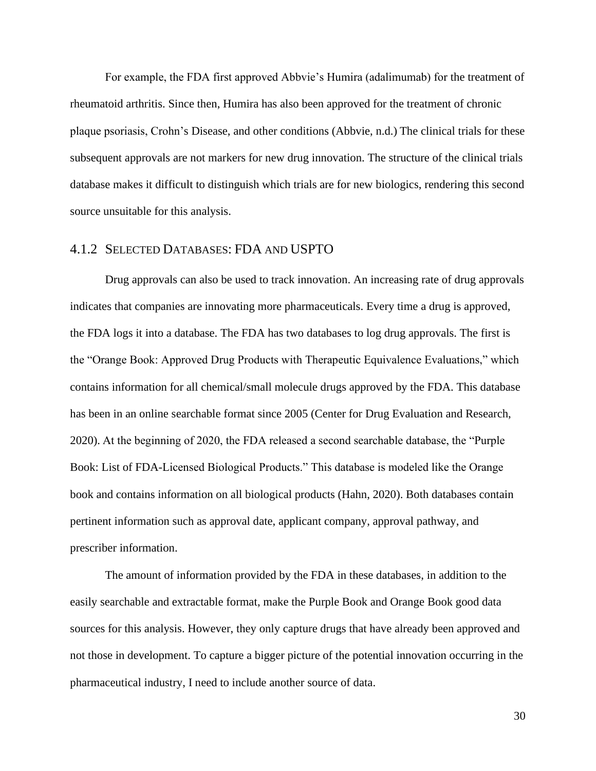For example, the FDA first approved Abbvie's Humira (adalimumab) for the treatment of rheumatoid arthritis. Since then, Humira has also been approved for the treatment of chronic plaque psoriasis, Crohn's Disease, and other conditions (Abbvie, n.d.) The clinical trials for these subsequent approvals are not markers for new drug innovation. The structure of the clinical trials database makes it difficult to distinguish which trials are for new biologics, rendering this second source unsuitable for this analysis.

### <span id="page-30-0"></span>4.1.2 SELECTED DATABASES: FDA AND USPTO

Drug approvals can also be used to track innovation. An increasing rate of drug approvals indicates that companies are innovating more pharmaceuticals. Every time a drug is approved, the FDA logs it into a database. The FDA has two databases to log drug approvals. The first is the "Orange Book: Approved Drug Products with Therapeutic Equivalence Evaluations," which contains information for all chemical/small molecule drugs approved by the FDA. This database has been in an online searchable format since 2005 (Center for Drug Evaluation and Research, 2020). At the beginning of 2020, the FDA released a second searchable database, the "Purple Book: List of FDA-Licensed Biological Products." This database is modeled like the Orange book and contains information on all biological products (Hahn, 2020). Both databases contain pertinent information such as approval date, applicant company, approval pathway, and prescriber information.

The amount of information provided by the FDA in these databases, in addition to the easily searchable and extractable format, make the Purple Book and Orange Book good data sources for this analysis. However, they only capture drugs that have already been approved and not those in development. To capture a bigger picture of the potential innovation occurring in the pharmaceutical industry, I need to include another source of data.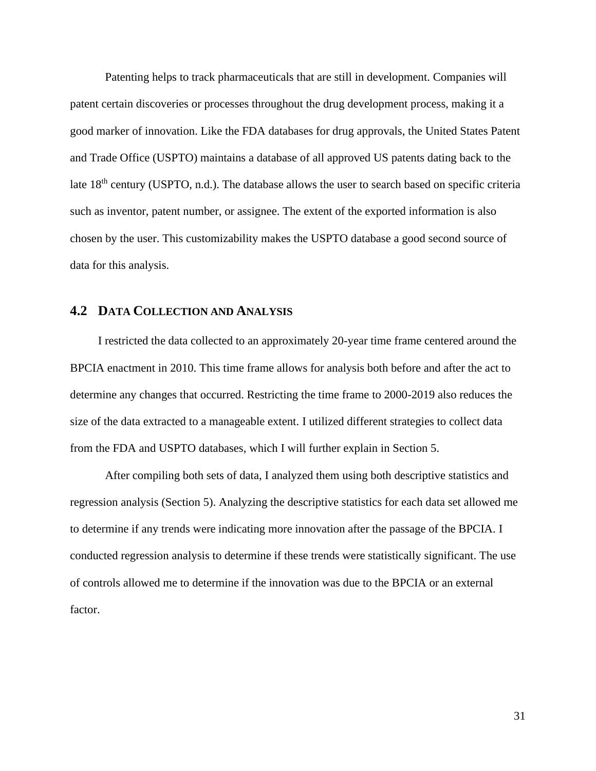Patenting helps to track pharmaceuticals that are still in development. Companies will patent certain discoveries or processes throughout the drug development process, making it a good marker of innovation. Like the FDA databases for drug approvals, the United States Patent and Trade Office (USPTO) maintains a database of all approved US patents dating back to the late 18<sup>th</sup> century (USPTO, n.d.). The database allows the user to search based on specific criteria such as inventor, patent number, or assignee. The extent of the exported information is also chosen by the user. This customizability makes the USPTO database a good second source of data for this analysis.

## <span id="page-31-0"></span>**4.2 DATA COLLECTION AND ANALYSIS**

I restricted the data collected to an approximately 20-year time frame centered around the BPCIA enactment in 2010. This time frame allows for analysis both before and after the act to determine any changes that occurred. Restricting the time frame to 2000-2019 also reduces the size of the data extracted to a manageable extent. I utilized different strategies to collect data from the FDA and USPTO databases, which I will further explain in Section 5.

After compiling both sets of data, I analyzed them using both descriptive statistics and regression analysis (Section 5). Analyzing the descriptive statistics for each data set allowed me to determine if any trends were indicating more innovation after the passage of the BPCIA. I conducted regression analysis to determine if these trends were statistically significant. The use of controls allowed me to determine if the innovation was due to the BPCIA or an external factor.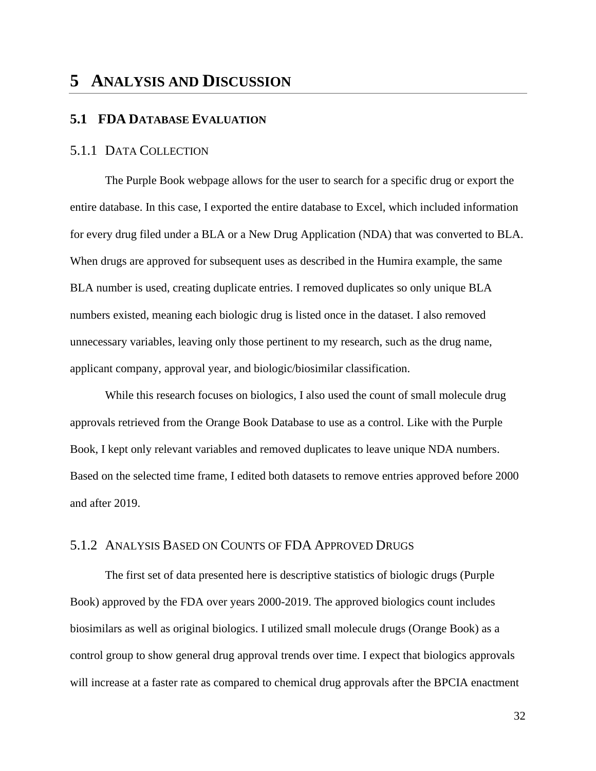## <span id="page-32-1"></span><span id="page-32-0"></span>**5 ANALYSIS AND DISCUSSION**

## **5.1 FDA DATABASE EVALUATION**

### <span id="page-32-2"></span>5.1.1 DATA COLLECTION

The Purple Book webpage allows for the user to search for a specific drug or export the entire database. In this case, I exported the entire database to Excel, which included information for every drug filed under a BLA or a New Drug Application (NDA) that was converted to BLA. When drugs are approved for subsequent uses as described in the Humira example, the same BLA number is used, creating duplicate entries. I removed duplicates so only unique BLA numbers existed, meaning each biologic drug is listed once in the dataset. I also removed unnecessary variables, leaving only those pertinent to my research, such as the drug name, applicant company, approval year, and biologic/biosimilar classification.

While this research focuses on biologics, I also used the count of small molecule drug approvals retrieved from the Orange Book Database to use as a control. Like with the Purple Book, I kept only relevant variables and removed duplicates to leave unique NDA numbers. Based on the selected time frame, I edited both datasets to remove entries approved before 2000 and after 2019.

## <span id="page-32-3"></span>5.1.2 ANALYSIS BASED ON COUNTS OF FDA APPROVED DRUGS

The first set of data presented here is descriptive statistics of biologic drugs (Purple Book) approved by the FDA over years 2000-2019. The approved biologics count includes biosimilars as well as original biologics. I utilized small molecule drugs (Orange Book) as a control group to show general drug approval trends over time. I expect that biologics approvals will increase at a faster rate as compared to chemical drug approvals after the BPCIA enactment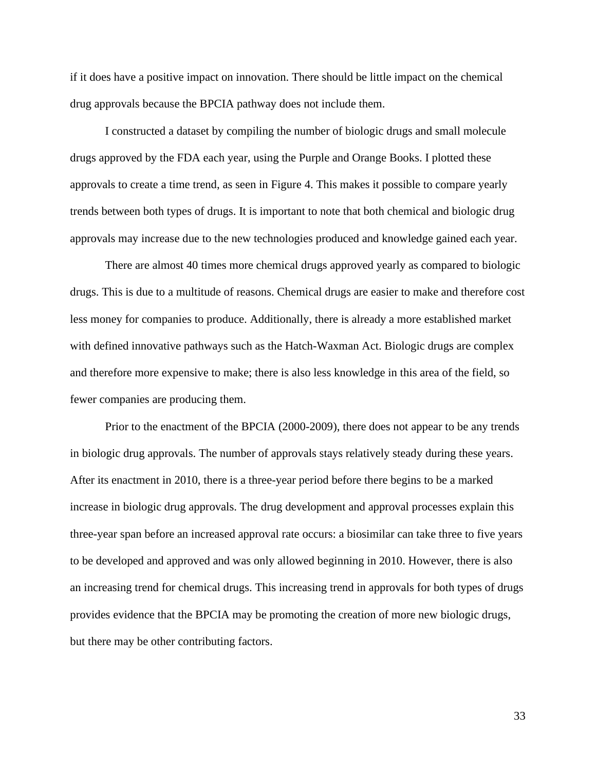if it does have a positive impact on innovation. There should be little impact on the chemical drug approvals because the BPCIA pathway does not include them.

I constructed a dataset by compiling the number of biologic drugs and small molecule drugs approved by the FDA each year, using the Purple and Orange Books. I plotted these approvals to create a time trend, as seen in Figure 4. This makes it possible to compare yearly trends between both types of drugs. It is important to note that both chemical and biologic drug approvals may increase due to the new technologies produced and knowledge gained each year.

There are almost 40 times more chemical drugs approved yearly as compared to biologic drugs. This is due to a multitude of reasons. Chemical drugs are easier to make and therefore cost less money for companies to produce. Additionally, there is already a more established market with defined innovative pathways such as the Hatch-Waxman Act. Biologic drugs are complex and therefore more expensive to make; there is also less knowledge in this area of the field, so fewer companies are producing them.

Prior to the enactment of the BPCIA (2000-2009), there does not appear to be any trends in biologic drug approvals. The number of approvals stays relatively steady during these years. After its enactment in 2010, there is a three-year period before there begins to be a marked increase in biologic drug approvals. The drug development and approval processes explain this three-year span before an increased approval rate occurs: a biosimilar can take three to five years to be developed and approved and was only allowed beginning in 2010. However, there is also an increasing trend for chemical drugs. This increasing trend in approvals for both types of drugs provides evidence that the BPCIA may be promoting the creation of more new biologic drugs, but there may be other contributing factors.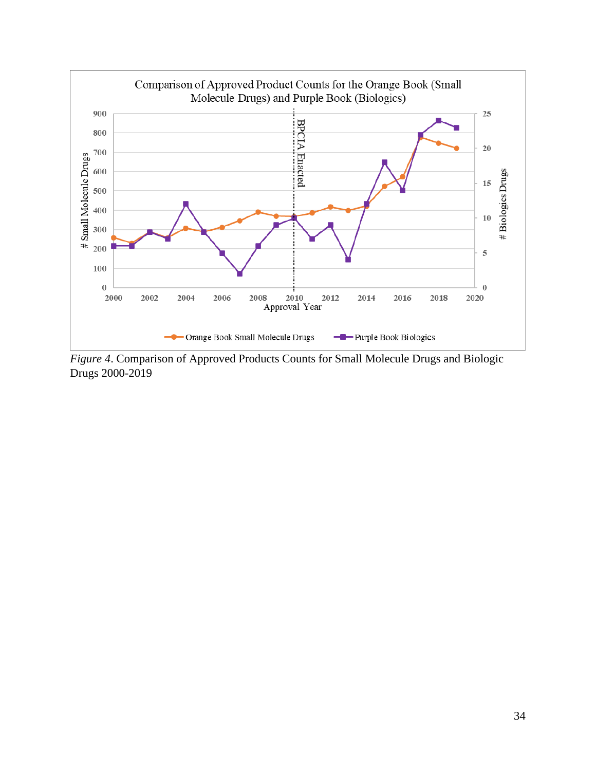

*Figure 4*. Comparison of Approved Products Counts for Small Molecule Drugs and Biologic Drugs 2000-2019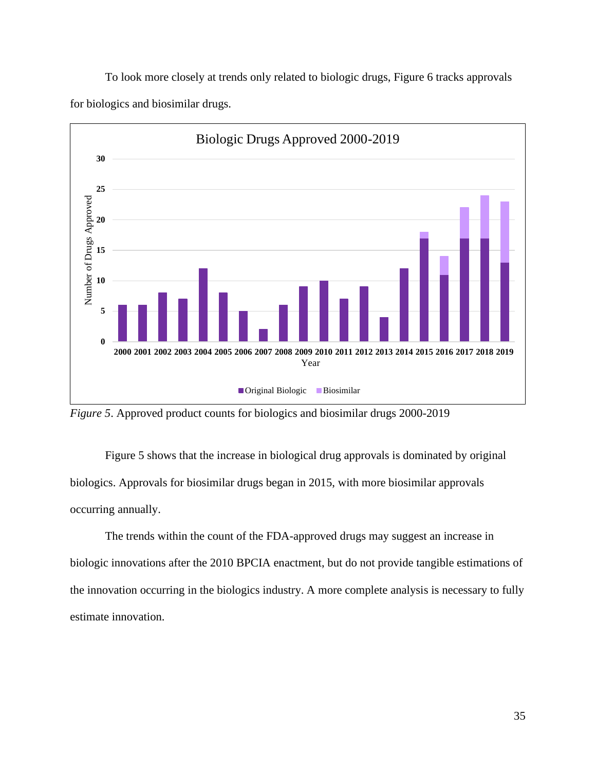To look more closely at trends only related to biologic drugs, Figure 6 tracks approvals for biologics and biosimilar drugs.



*Figure 5*. Approved product counts for biologics and biosimilar drugs 2000-2019

Figure 5 shows that the increase in biological drug approvals is dominated by original biologics. Approvals for biosimilar drugs began in 2015, with more biosimilar approvals occurring annually.

The trends within the count of the FDA-approved drugs may suggest an increase in biologic innovations after the 2010 BPCIA enactment, but do not provide tangible estimations of the innovation occurring in the biologics industry. A more complete analysis is necessary to fully estimate innovation.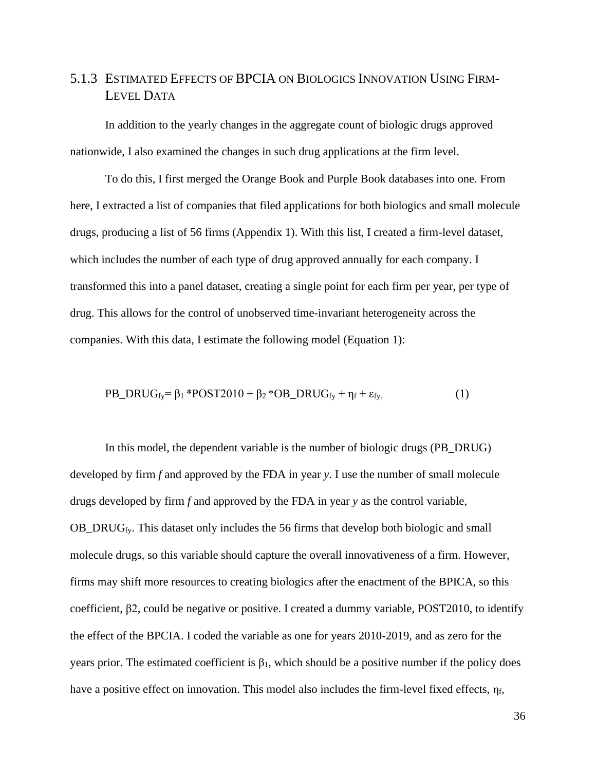## <span id="page-36-0"></span>5.1.3 ESTIMATED EFFECTS OF BPCIA ON BIOLOGICS INNOVATION USING FIRM-LEVEL DATA

In addition to the yearly changes in the aggregate count of biologic drugs approved nationwide, I also examined the changes in such drug applications at the firm level.

To do this, I first merged the Orange Book and Purple Book databases into one. From here, I extracted a list of companies that filed applications for both biologics and small molecule drugs, producing a list of 56 firms (Appendix 1). With this list, I created a firm-level dataset, which includes the number of each type of drug approved annually for each company. I transformed this into a panel dataset, creating a single point for each firm per year, per type of drug. This allows for the control of unobserved time-invariant heterogeneity across the companies. With this data, I estimate the following model (Equation 1):

$$
PB\_DRUG_{fy} = \beta_1 * POST2010 + \beta_2 * OB\_DRUG_{fy} + \eta_f + \varepsilon_{fy}.
$$
 (1)

In this model, the dependent variable is the number of biologic drugs (PB\_DRUG) developed by firm *f* and approved by the FDA in year *y*. I use the number of small molecule drugs developed by firm *f* and approved by the FDA in year *y* as the control variable, OB\_DRUG $_{fv}$ . This dataset only includes the 56 firms that develop both biologic and small molecule drugs, so this variable should capture the overall innovativeness of a firm. However, firms may shift more resources to creating biologics after the enactment of the BPICA, so this coefficient, β2, could be negative or positive. I created a dummy variable, POST2010, to identify the effect of the BPCIA. I coded the variable as one for years 2010-2019, and as zero for the years prior. The estimated coefficient is  $\beta_1$ , which should be a positive number if the policy does have a positive effect on innovation. This model also includes the firm-level fixed effects,  $\eta_f$ ,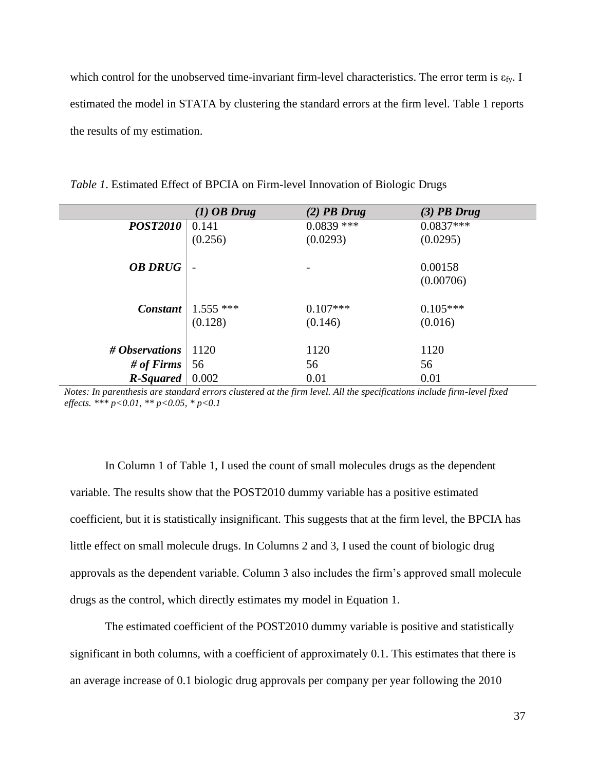which control for the unobserved time-invariant firm-level characteristics. The error term is  $\varepsilon_{fy}$ . I estimated the model in STATA by clustering the standard errors at the firm level. Table 1 reports the results of my estimation.

|                 | $(1)$ OB Drug | $(2)$ PB Drug | $(3)$ PB Drug |
|-----------------|---------------|---------------|---------------|
| <b>POST2010</b> | 0.141         | $0.0839$ ***  | $0.0837***$   |
|                 | (0.256)       | (0.0293)      | (0.0295)      |
|                 |               |               |               |
| <b>OB DRUG</b>  |               |               | 0.00158       |
|                 |               |               | (0.00706)     |
|                 |               |               |               |
| Constant        | $1.555$ ***   | $0.107***$    | $0.105***$    |
|                 | (0.128)       | (0.146)       | (0.016)       |
|                 |               |               |               |
| # Observations  | 1120          | 1120          | 1120          |
| # of Firms      | 56            | 56            | 56            |
| R-Squared       | 0.002         | 0.01          | 0.01          |

*Table 1*. Estimated Effect of BPCIA on Firm-level Innovation of Biologic Drugs

*Notes: In parenthesis are standard errors clustered at the firm level. All the specifications include firm-level fixed effects. \*\*\* p<0.01, \*\* p<0.05, \* p<0.1*

In Column 1 of Table 1, I used the count of small molecules drugs as the dependent variable. The results show that the POST2010 dummy variable has a positive estimated coefficient, but it is statistically insignificant. This suggests that at the firm level, the BPCIA has little effect on small molecule drugs. In Columns 2 and 3, I used the count of biologic drug approvals as the dependent variable. Column 3 also includes the firm's approved small molecule drugs as the control, which directly estimates my model in Equation 1.

The estimated coefficient of the POST2010 dummy variable is positive and statistically significant in both columns, with a coefficient of approximately 0.1. This estimates that there is an average increase of 0.1 biologic drug approvals per company per year following the 2010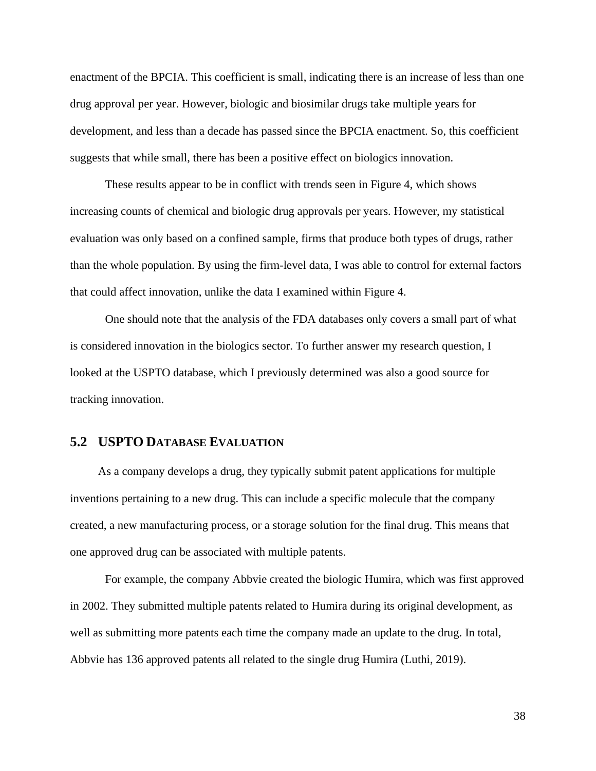enactment of the BPCIA. This coefficient is small, indicating there is an increase of less than one drug approval per year. However, biologic and biosimilar drugs take multiple years for development, and less than a decade has passed since the BPCIA enactment. So, this coefficient suggests that while small, there has been a positive effect on biologics innovation.

These results appear to be in conflict with trends seen in Figure 4, which shows increasing counts of chemical and biologic drug approvals per years. However, my statistical evaluation was only based on a confined sample, firms that produce both types of drugs, rather than the whole population. By using the firm-level data, I was able to control for external factors that could affect innovation, unlike the data I examined within Figure 4.

One should note that the analysis of the FDA databases only covers a small part of what is considered innovation in the biologics sector. To further answer my research question, I looked at the USPTO database, which I previously determined was also a good source for tracking innovation.

## <span id="page-38-0"></span>**5.2 USPTO DATABASE EVALUATION**

As a company develops a drug, they typically submit patent applications for multiple inventions pertaining to a new drug. This can include a specific molecule that the company created, a new manufacturing process, or a storage solution for the final drug. This means that one approved drug can be associated with multiple patents.

For example, the company Abbvie created the biologic Humira, which was first approved in 2002. They submitted multiple patents related to Humira during its original development, as well as submitting more patents each time the company made an update to the drug. In total, Abbvie has 136 approved patents all related to the single drug Humira (Luthi, 2019).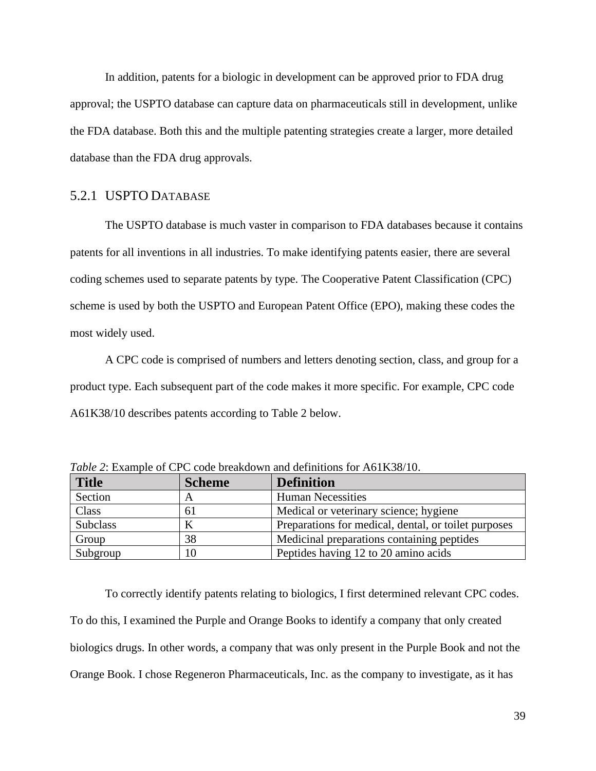In addition, patents for a biologic in development can be approved prior to FDA drug approval; the USPTO database can capture data on pharmaceuticals still in development, unlike the FDA database. Both this and the multiple patenting strategies create a larger, more detailed database than the FDA drug approvals.

## <span id="page-39-0"></span>5.2.1 USPTO DATABASE

The USPTO database is much vaster in comparison to FDA databases because it contains patents for all inventions in all industries. To make identifying patents easier, there are several coding schemes used to separate patents by type. The Cooperative Patent Classification (CPC) scheme is used by both the USPTO and European Patent Office (EPO), making these codes the most widely used.

A CPC code is comprised of numbers and letters denoting section, class, and group for a product type. Each subsequent part of the code makes it more specific. For example, CPC code A61K38/10 describes patents according to Table 2 below.

| <b>Title</b>    | <b>Scheme</b> | <b>Definition</b>                                    |
|-----------------|---------------|------------------------------------------------------|
| Section         |               | <b>Human Necessities</b>                             |
| Class           | 61            | Medical or veterinary science; hygiene               |
| <b>Subclass</b> |               | Preparations for medical, dental, or toilet purposes |
| Group           | 38            | Medicinal preparations containing peptides           |
| Subgroup        | 10            | Peptides having 12 to 20 amino acids                 |

*Table 2*: Example of CPC code breakdown and definitions for A61K38/10.

To correctly identify patents relating to biologics, I first determined relevant CPC codes. To do this, I examined the Purple and Orange Books to identify a company that only created biologics drugs. In other words, a company that was only present in the Purple Book and not the Orange Book. I chose Regeneron Pharmaceuticals, Inc. as the company to investigate, as it has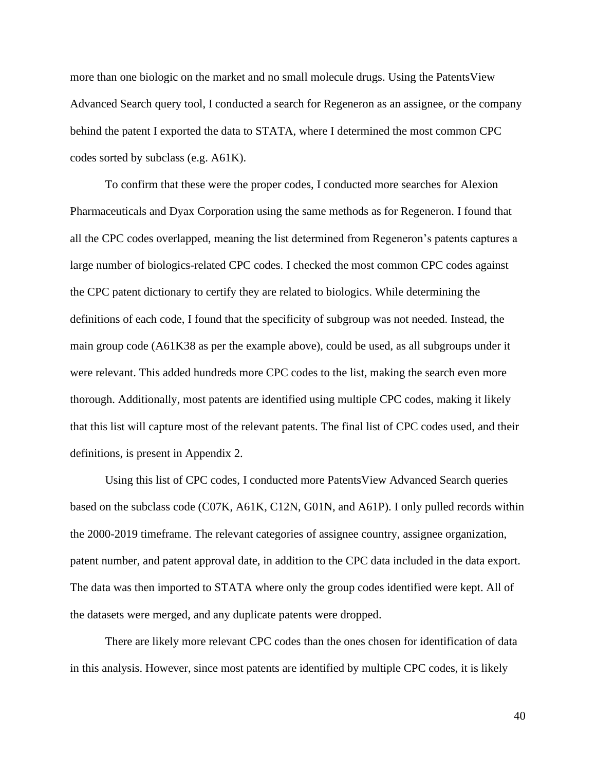more than one biologic on the market and no small molecule drugs. Using the PatentsView Advanced Search query tool, I conducted a search for Regeneron as an assignee, or the company behind the patent I exported the data to STATA, where I determined the most common CPC codes sorted by subclass (e.g. A61K).

To confirm that these were the proper codes, I conducted more searches for Alexion Pharmaceuticals and Dyax Corporation using the same methods as for Regeneron. I found that all the CPC codes overlapped, meaning the list determined from Regeneron's patents captures a large number of biologics-related CPC codes. I checked the most common CPC codes against the CPC patent dictionary to certify they are related to biologics. While determining the definitions of each code, I found that the specificity of subgroup was not needed. Instead, the main group code (A61K38 as per the example above), could be used, as all subgroups under it were relevant. This added hundreds more CPC codes to the list, making the search even more thorough. Additionally, most patents are identified using multiple CPC codes, making it likely that this list will capture most of the relevant patents. The final list of CPC codes used, and their definitions, is present in Appendix 2.

Using this list of CPC codes, I conducted more PatentsView Advanced Search queries based on the subclass code (C07K, A61K, C12N, G01N, and A61P). I only pulled records within the 2000-2019 timeframe. The relevant categories of assignee country, assignee organization, patent number, and patent approval date, in addition to the CPC data included in the data export. The data was then imported to STATA where only the group codes identified were kept. All of the datasets were merged, and any duplicate patents were dropped.

There are likely more relevant CPC codes than the ones chosen for identification of data in this analysis. However, since most patents are identified by multiple CPC codes, it is likely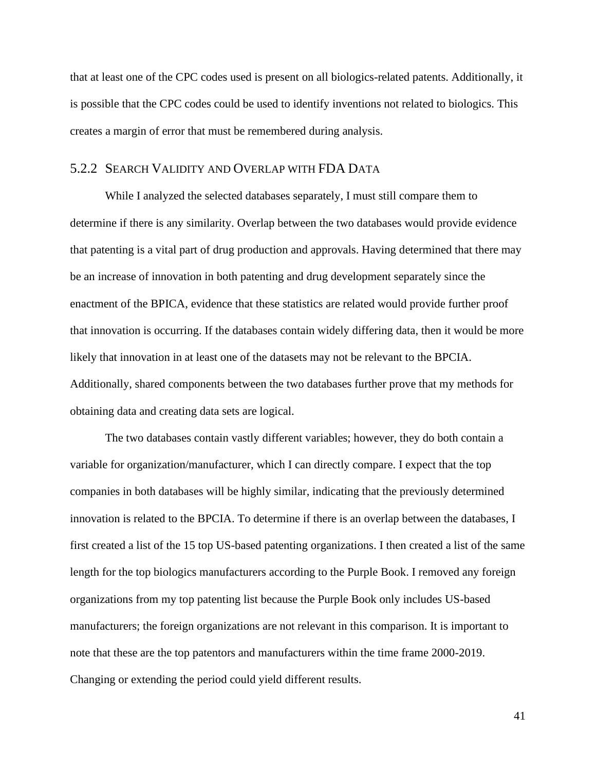that at least one of the CPC codes used is present on all biologics-related patents. Additionally, it is possible that the CPC codes could be used to identify inventions not related to biologics. This creates a margin of error that must be remembered during analysis.

## <span id="page-41-0"></span>5.2.2 SEARCH VALIDITY AND OVERLAP WITH FDA DATA

While I analyzed the selected databases separately, I must still compare them to determine if there is any similarity. Overlap between the two databases would provide evidence that patenting is a vital part of drug production and approvals. Having determined that there may be an increase of innovation in both patenting and drug development separately since the enactment of the BPICA, evidence that these statistics are related would provide further proof that innovation is occurring. If the databases contain widely differing data, then it would be more likely that innovation in at least one of the datasets may not be relevant to the BPCIA. Additionally, shared components between the two databases further prove that my methods for obtaining data and creating data sets are logical.

The two databases contain vastly different variables; however, they do both contain a variable for organization/manufacturer, which I can directly compare. I expect that the top companies in both databases will be highly similar, indicating that the previously determined innovation is related to the BPCIA. To determine if there is an overlap between the databases, I first created a list of the 15 top US-based patenting organizations. I then created a list of the same length for the top biologics manufacturers according to the Purple Book. I removed any foreign organizations from my top patenting list because the Purple Book only includes US-based manufacturers; the foreign organizations are not relevant in this comparison. It is important to note that these are the top patentors and manufacturers within the time frame 2000-2019. Changing or extending the period could yield different results.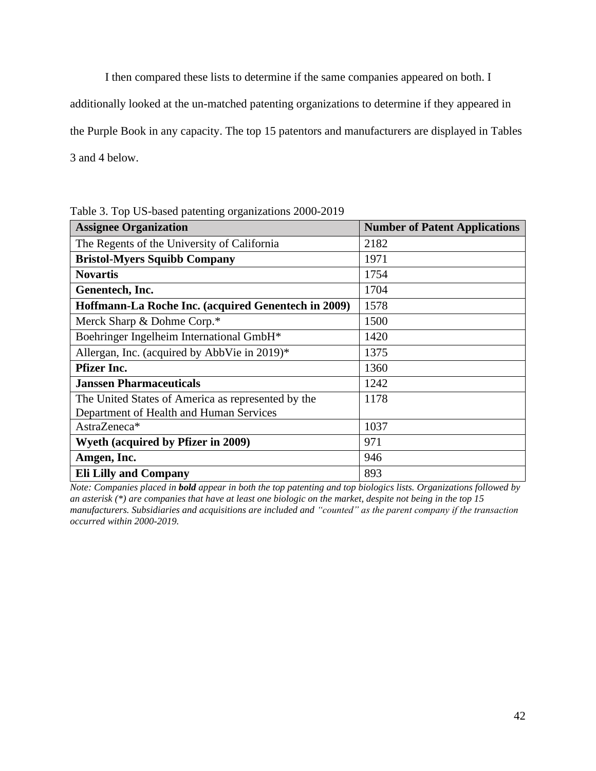I then compared these lists to determine if the same companies appeared on both. I

additionally looked at the un-matched patenting organizations to determine if they appeared in

the Purple Book in any capacity. The top 15 patentors and manufacturers are displayed in Tables

3 and 4 below.

Table 3. Top US-based patenting organizations 2000-2019

| <b>Assignee Organization</b>                        | <b>Number of Patent Applications</b> |
|-----------------------------------------------------|--------------------------------------|
| The Regents of the University of California         | 2182                                 |
| <b>Bristol-Myers Squibb Company</b>                 | 1971                                 |
| <b>Novartis</b>                                     | 1754                                 |
| Genentech, Inc.                                     | 1704                                 |
| Hoffmann-La Roche Inc. (acquired Genentech in 2009) | 1578                                 |
| Merck Sharp & Dohme Corp.*                          | 1500                                 |
| Boehringer Ingelheim International GmbH*            | 1420                                 |
| Allergan, Inc. (acquired by AbbVie in 2019)*        | 1375                                 |
| <b>Pfizer Inc.</b>                                  | 1360                                 |
| <b>Janssen Pharmaceuticals</b>                      | 1242                                 |
| The United States of America as represented by the  | 1178                                 |
| Department of Health and Human Services             |                                      |
| AstraZeneca*                                        | 1037                                 |
| <b>Wyeth (acquired by Pfizer in 2009)</b>           | 971                                  |
| Amgen, Inc.                                         | 946                                  |
| <b>Eli Lilly and Company</b>                        | 893                                  |

*Note: Companies placed in bold appear in both the top patenting and top biologics lists. Organizations followed by an asterisk (\*) are companies that have at least one biologic on the market, despite not being in the top 15 manufacturers. Subsidiaries and acquisitions are included and "counted" as the parent company if the transaction occurred within 2000-2019.*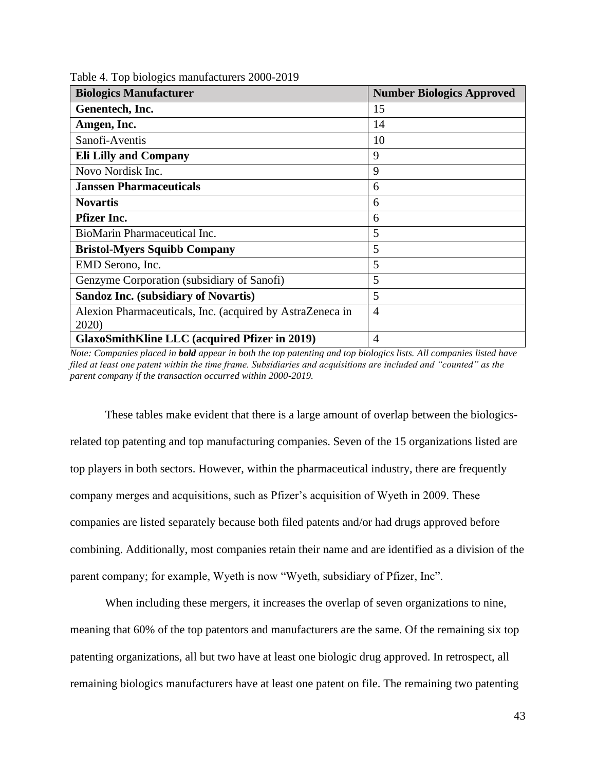| <b>Biologics Manufacturer</b>                             | <b>Number Biologics Approved</b> |
|-----------------------------------------------------------|----------------------------------|
| Genentech, Inc.                                           | 15                               |
| Amgen, Inc.                                               | 14                               |
| Sanofi-Aventis                                            | 10                               |
| <b>Eli Lilly and Company</b>                              | 9                                |
| Novo Nordisk Inc.                                         | 9                                |
| <b>Janssen Pharmaceuticals</b>                            | 6                                |
| <b>Novartis</b>                                           | 6                                |
| <b>Pfizer Inc.</b>                                        | 6                                |
| BioMarin Pharmaceutical Inc.                              | 5                                |
| <b>Bristol-Myers Squibb Company</b>                       | 5                                |
| EMD Serono, Inc.                                          | 5                                |
| Genzyme Corporation (subsidiary of Sanofi)                | 5                                |
| <b>Sandoz Inc. (subsidiary of Novartis)</b>               | 5                                |
| Alexion Pharmaceuticals, Inc. (acquired by AstraZeneca in | $\overline{4}$                   |
| 2020)                                                     |                                  |
| <b>GlaxoSmithKline LLC</b> (acquired Pfizer in 2019)      | $\overline{4}$                   |

Table 4. Top biologics manufacturers 2000-2019

*Note: Companies placed in bold appear in both the top patenting and top biologics lists. All companies listed have filed at least one patent within the time frame. Subsidiaries and acquisitions are included and "counted" as the parent company if the transaction occurred within 2000-2019.*

These tables make evident that there is a large amount of overlap between the biologicsrelated top patenting and top manufacturing companies. Seven of the 15 organizations listed are top players in both sectors. However, within the pharmaceutical industry, there are frequently company merges and acquisitions, such as Pfizer's acquisition of Wyeth in 2009. These companies are listed separately because both filed patents and/or had drugs approved before combining. Additionally, most companies retain their name and are identified as a division of the parent company; for example, Wyeth is now "Wyeth, subsidiary of Pfizer, Inc".

When including these mergers, it increases the overlap of seven organizations to nine, meaning that 60% of the top patentors and manufacturers are the same. Of the remaining six top patenting organizations, all but two have at least one biologic drug approved. In retrospect, all remaining biologics manufacturers have at least one patent on file. The remaining two patenting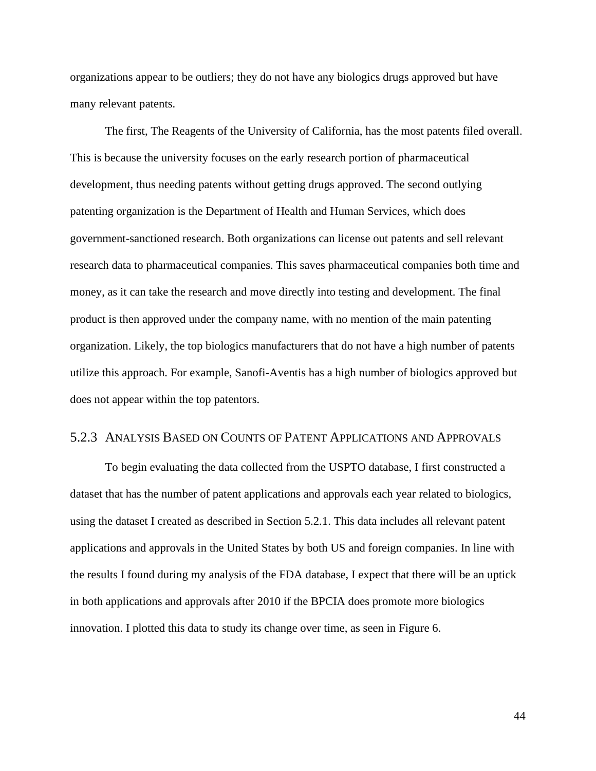organizations appear to be outliers; they do not have any biologics drugs approved but have many relevant patents.

The first, The Reagents of the University of California, has the most patents filed overall. This is because the university focuses on the early research portion of pharmaceutical development, thus needing patents without getting drugs approved. The second outlying patenting organization is the Department of Health and Human Services, which does government-sanctioned research. Both organizations can license out patents and sell relevant research data to pharmaceutical companies. This saves pharmaceutical companies both time and money, as it can take the research and move directly into testing and development. The final product is then approved under the company name, with no mention of the main patenting organization. Likely, the top biologics manufacturers that do not have a high number of patents utilize this approach. For example, Sanofi-Aventis has a high number of biologics approved but does not appear within the top patentors.

## <span id="page-44-0"></span>5.2.3 ANALYSIS BASED ON COUNTS OF PATENT APPLICATIONS AND APPROVALS

To begin evaluating the data collected from the USPTO database, I first constructed a dataset that has the number of patent applications and approvals each year related to biologics, using the dataset I created as described in Section 5.2.1. This data includes all relevant patent applications and approvals in the United States by both US and foreign companies. In line with the results I found during my analysis of the FDA database, I expect that there will be an uptick in both applications and approvals after 2010 if the BPCIA does promote more biologics innovation. I plotted this data to study its change over time, as seen in Figure 6.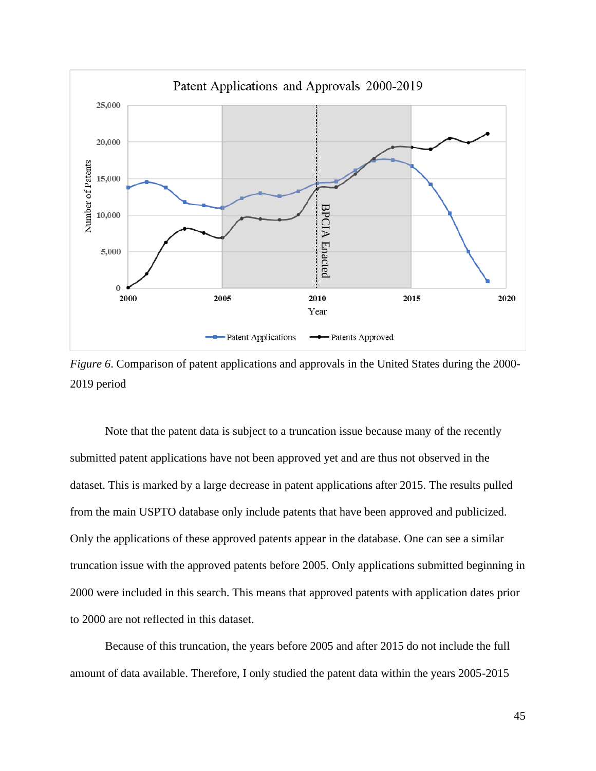

*Figure 6*. Comparison of patent applications and approvals in the United States during the 2000- 2019 period

Note that the patent data is subject to a truncation issue because many of the recently submitted patent applications have not been approved yet and are thus not observed in the dataset. This is marked by a large decrease in patent applications after 2015. The results pulled from the main USPTO database only include patents that have been approved and publicized. Only the applications of these approved patents appear in the database. One can see a similar truncation issue with the approved patents before 2005. Only applications submitted beginning in 2000 were included in this search. This means that approved patents with application dates prior to 2000 are not reflected in this dataset.  $\frac{2000}{2000}$ <br>  $\frac{2008}{2000}$ <br>  $\frac{2008}{2000}$ <br>  $\frac{2008}{2000}$ <br>  $\frac{2008}{2000}$ <br>  $\frac{2008}{2000}$ <br>
Note that the patent data is subject to a truncation issue because many of the recently<br>
submitted patent applications

Because of this truncation, the years before 2005 and after 2015 do not include the full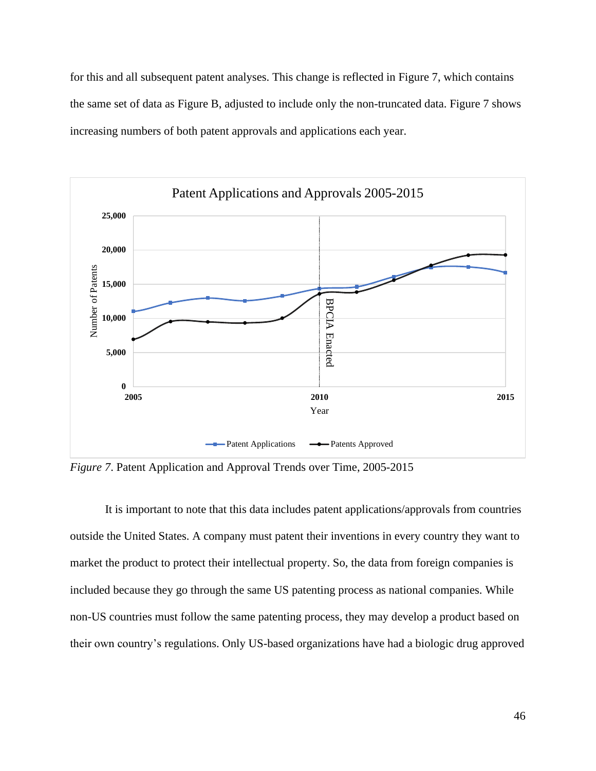for this and all subsequent patent analyses. This change is reflected in Figure 7, which contains the same set of data as Figure B, adjusted to include only the non-truncated data. Figure 7 shows increasing numbers of both patent approvals and applications each year.



*Figure 7*. Patent Application and Approval Trends over Time, 2005-2015

It is important to note that this data includes patent applications/approvals from countries outside the United States. A company must patent their inventions in every country they want to market the product to protect their intellectual property. So, the data from foreign companies is included because they go through the same US patenting process as national companies. While non-US countries must follow the same patenting process, they may develop a product based on their own country's regulations. Only US-based organizations have had a biologic drug approved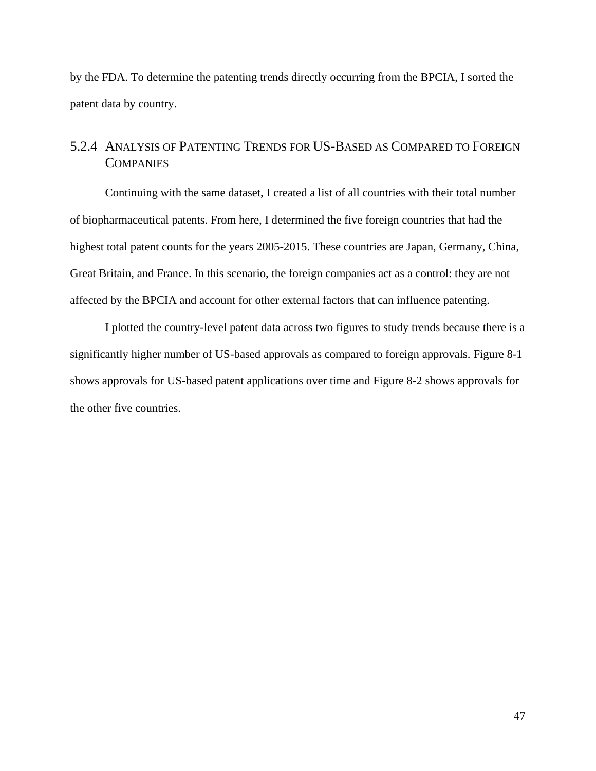by the FDA. To determine the patenting trends directly occurring from the BPCIA, I sorted the patent data by country.

## <span id="page-47-0"></span>5.2.4 ANALYSIS OF PATENTING TRENDS FOR US-BASED AS COMPARED TO FOREIGN **COMPANIES**

Continuing with the same dataset, I created a list of all countries with their total number of biopharmaceutical patents. From here, I determined the five foreign countries that had the highest total patent counts for the years 2005-2015. These countries are Japan, Germany, China, Great Britain, and France. In this scenario, the foreign companies act as a control: they are not affected by the BPCIA and account for other external factors that can influence patenting.

I plotted the country-level patent data across two figures to study trends because there is a significantly higher number of US-based approvals as compared to foreign approvals. Figure 8-1 shows approvals for US-based patent applications over time and Figure 8-2 shows approvals for the other five countries.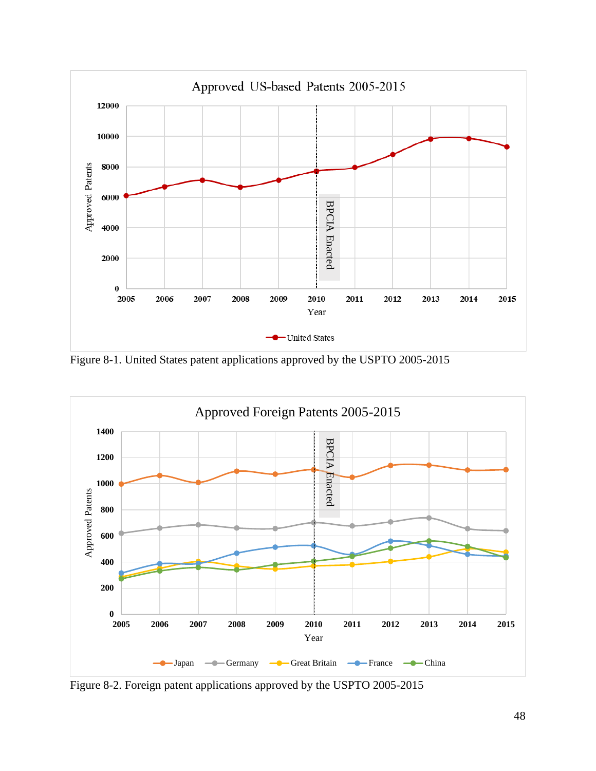

Figure 8-1. United States patent applications approved by the USPTO 2005-2015



Figure 8-2. Foreign patent applications approved by the USPTO 2005-2015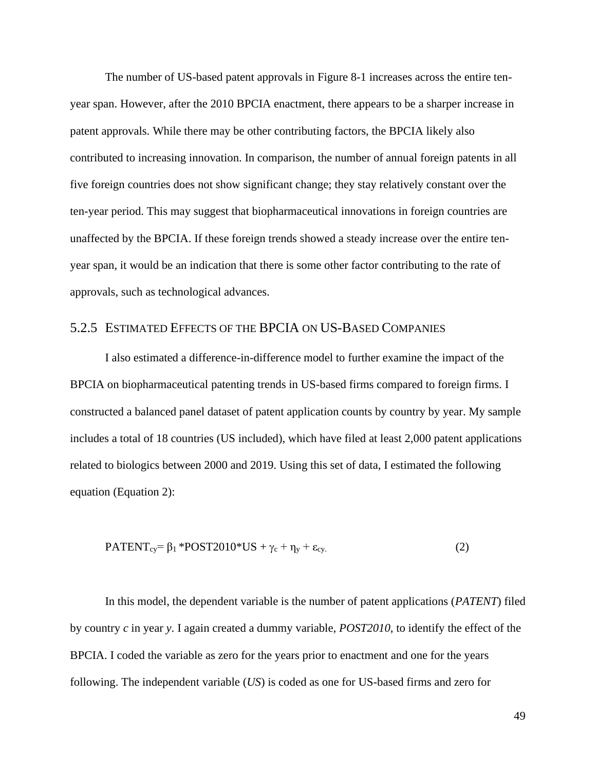The number of US-based patent approvals in Figure 8-1 increases across the entire tenyear span. However, after the 2010 BPCIA enactment, there appears to be a sharper increase in patent approvals. While there may be other contributing factors, the BPCIA likely also contributed to increasing innovation. In comparison, the number of annual foreign patents in all five foreign countries does not show significant change; they stay relatively constant over the ten-year period. This may suggest that biopharmaceutical innovations in foreign countries are unaffected by the BPCIA. If these foreign trends showed a steady increase over the entire tenyear span, it would be an indication that there is some other factor contributing to the rate of approvals, such as technological advances.

## <span id="page-49-0"></span>5.2.5 ESTIMATED EFFECTS OF THE BPCIA ON US-BASED COMPANIES

I also estimated a difference-in-difference model to further examine the impact of the BPCIA on biopharmaceutical patenting trends in US-based firms compared to foreign firms. I constructed a balanced panel dataset of patent application counts by country by year. My sample includes a total of 18 countries (US included), which have filed at least 2,000 patent applications related to biologics between 2000 and 2019. Using this set of data, I estimated the following equation (Equation 2):

$$
PATENT_{cy} = \beta_1 * POST2010 * US + \gamma_c + \eta_y + \varepsilon_{cy}.
$$
 (2)

In this model, the dependent variable is the number of patent applications (*PATENT*) filed by country *c* in year *y*. I again created a dummy variable, *POST2010*, to identify the effect of the BPCIA. I coded the variable as zero for the years prior to enactment and one for the years following. The independent variable (*US*) is coded as one for US-based firms and zero for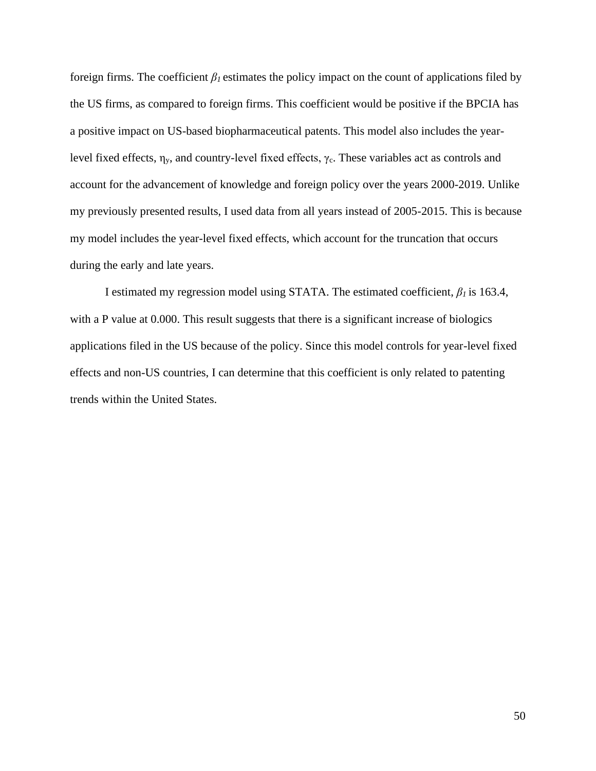foreign firms. The coefficient  $\beta_l$  estimates the policy impact on the count of applications filed by the US firms, as compared to foreign firms. This coefficient would be positive if the BPCIA has a positive impact on US-based biopharmaceutical patents. This model also includes the yearlevel fixed effects,  $\eta_y$ , and country-level fixed effects,  $\gamma_c$ . These variables act as controls and account for the advancement of knowledge and foreign policy over the years 2000-2019. Unlike my previously presented results, I used data from all years instead of 2005-2015. This is because my model includes the year-level fixed effects, which account for the truncation that occurs during the early and late years.

I estimated my regression model using STATA. The estimated coefficient, *β<sup>1</sup>* is 163.4, with a P value at 0.000. This result suggests that there is a significant increase of biologics applications filed in the US because of the policy. Since this model controls for year-level fixed effects and non-US countries, I can determine that this coefficient is only related to patenting trends within the United States.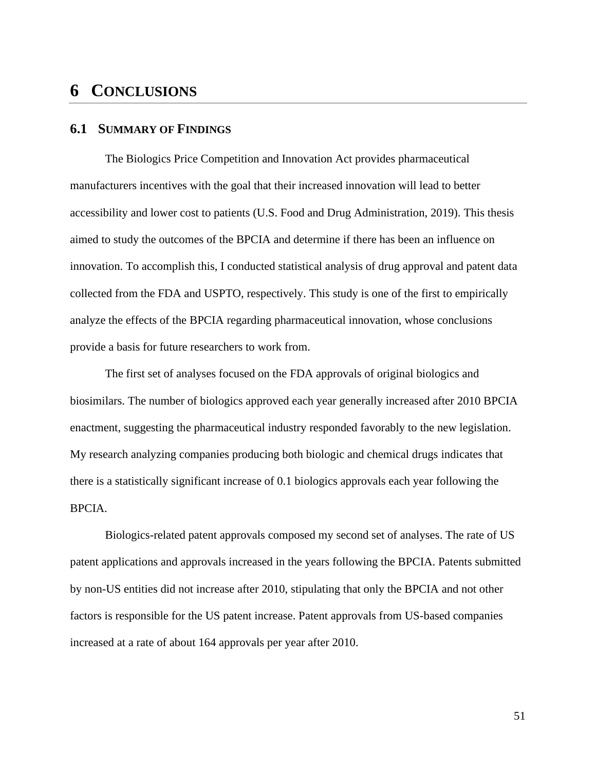## <span id="page-51-0"></span>**6 CONCLUSIONS**

## <span id="page-51-1"></span>**6.1 SUMMARY OF FINDINGS**

The Biologics Price Competition and Innovation Act provides pharmaceutical manufacturers incentives with the goal that their increased innovation will lead to better accessibility and lower cost to patients (U.S. Food and Drug Administration, 2019). This thesis aimed to study the outcomes of the BPCIA and determine if there has been an influence on innovation. To accomplish this, I conducted statistical analysis of drug approval and patent data collected from the FDA and USPTO, respectively. This study is one of the first to empirically analyze the effects of the BPCIA regarding pharmaceutical innovation, whose conclusions provide a basis for future researchers to work from.

The first set of analyses focused on the FDA approvals of original biologics and biosimilars. The number of biologics approved each year generally increased after 2010 BPCIA enactment, suggesting the pharmaceutical industry responded favorably to the new legislation. My research analyzing companies producing both biologic and chemical drugs indicates that there is a statistically significant increase of 0.1 biologics approvals each year following the BPCIA.

Biologics-related patent approvals composed my second set of analyses. The rate of US patent applications and approvals increased in the years following the BPCIA. Patents submitted by non-US entities did not increase after 2010, stipulating that only the BPCIA and not other factors is responsible for the US patent increase. Patent approvals from US-based companies increased at a rate of about 164 approvals per year after 2010.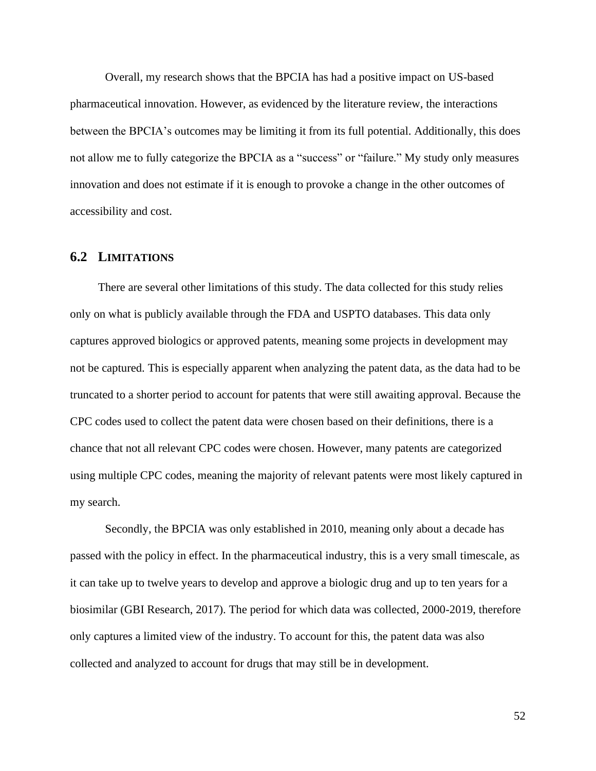Overall, my research shows that the BPCIA has had a positive impact on US-based pharmaceutical innovation. However, as evidenced by the literature review, the interactions between the BPCIA's outcomes may be limiting it from its full potential. Additionally, this does not allow me to fully categorize the BPCIA as a "success" or "failure." My study only measures innovation and does not estimate if it is enough to provoke a change in the other outcomes of accessibility and cost.

## <span id="page-52-0"></span>**6.2 LIMITATIONS**

There are several other limitations of this study. The data collected for this study relies only on what is publicly available through the FDA and USPTO databases. This data only captures approved biologics or approved patents, meaning some projects in development may not be captured. This is especially apparent when analyzing the patent data, as the data had to be truncated to a shorter period to account for patents that were still awaiting approval. Because the CPC codes used to collect the patent data were chosen based on their definitions, there is a chance that not all relevant CPC codes were chosen. However, many patents are categorized using multiple CPC codes, meaning the majority of relevant patents were most likely captured in my search.

Secondly, the BPCIA was only established in 2010, meaning only about a decade has passed with the policy in effect. In the pharmaceutical industry, this is a very small timescale, as it can take up to twelve years to develop and approve a biologic drug and up to ten years for a biosimilar (GBI Research, 2017). The period for which data was collected, 2000-2019, therefore only captures a limited view of the industry. To account for this, the patent data was also collected and analyzed to account for drugs that may still be in development.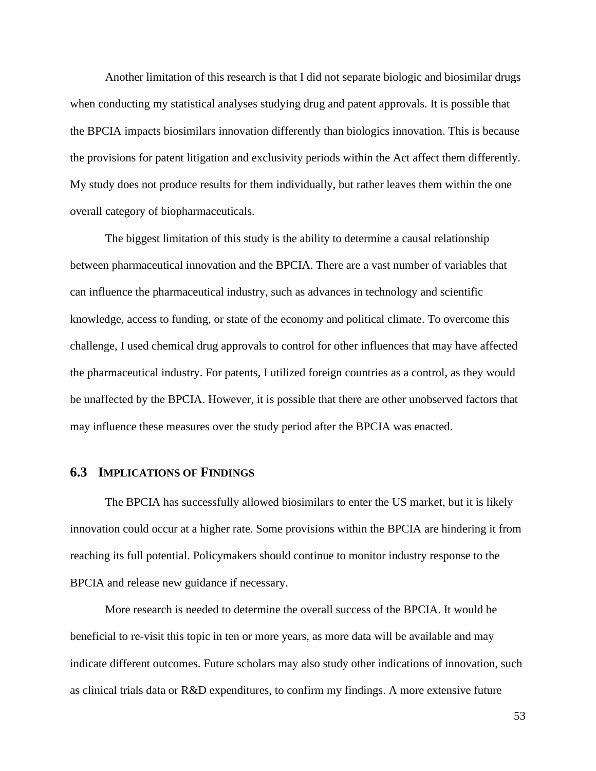Another limitation of this research is that I did not separate biologic and biosimilar drugs when conducting my statistical analyses studying drug and patent approvals. It is possible that the BPCIA impacts biosimilars innovation differently than biologics innovation. This is because the provisions for patent litigation and exclusivity periods within the Act affect them differently. My study does not produce results for them individually, but rather leaves them within the one overall category of biopharmaceuticals.

The biggest limitation of this study is the ability to determine a causal relationship between pharmaceutical innovation and the BPCIA. There are a vast number of variables that can influence the pharmaceutical industry, such as advances in technology and scientific knowledge, access to funding, or state of the economy and political climate. To overcome this challenge, I used chemical drug approvals to control for other influences that may have affected the pharmaceutical industry. For patents, I utilized foreign countries as a control, as they would be unaffected by the BPCIA. However, it is possible that there are other unobserved factors that may influence these measures over the study period after the BPCIA was enacted.

### <span id="page-53-0"></span>**6.3 IMPLICATIONS OF FINDINGS**

The BPCIA has successfully allowed biosimilars to enter the US market, but it is likely innovation could occur at a higher rate. Some provisions within the BPCIA are hindering it from reaching its full potential. Policymakers should continue to monitor industry response to the BPCIA and release new guidance if necessary.

More research is needed to determine the overall success of the BPCIA. It would be beneficial to re-visit this topic in ten or more years, as more data will be available and may indicate different outcomes. Future scholars may also study other indications of innovation, such as clinical trials data or R&D expenditures, to confirm my findings. A more extensive future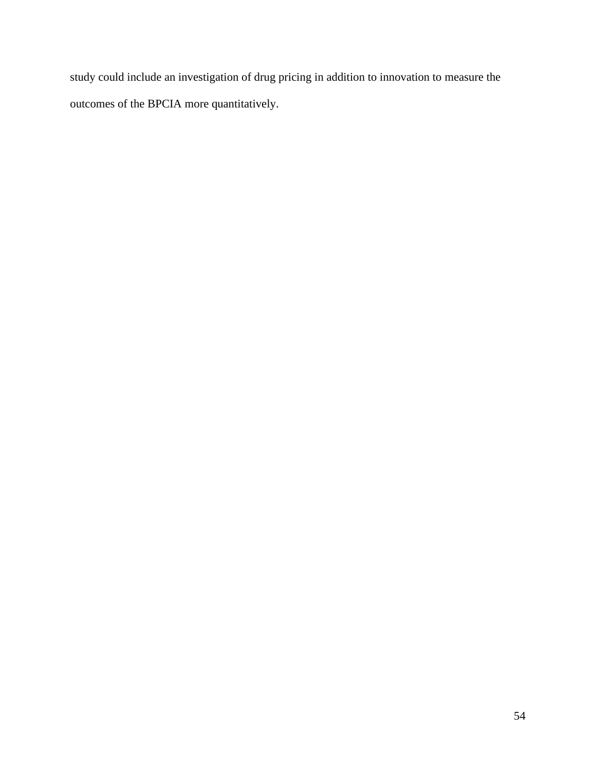study could include an investigation of drug pricing in addition to innovation to measure the outcomes of the BPCIA more quantitatively.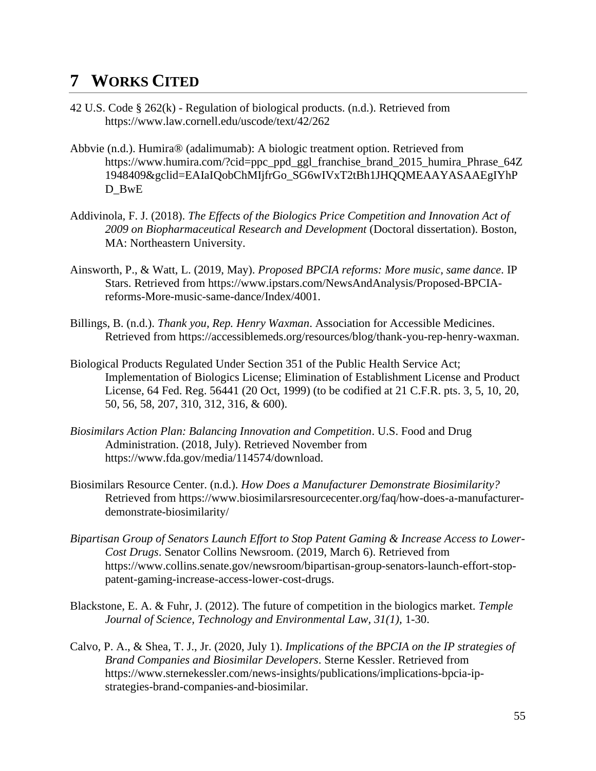## <span id="page-55-0"></span>**7 WORKS CITED**

- 42 U.S. Code § 262(k) Regulation of biological products. (n.d.). Retrieved from https://www.law.cornell.edu/uscode/text/42/262
- Abbvie (n.d.). Humira® (adalimumab): A biologic treatment option. Retrieved from https://www.humira.com/?cid=ppc\_ppd\_ggl\_franchise\_brand\_2015\_humira\_Phrase\_64Z 1948409&gclid=EAIaIQobChMIjfrGo\_SG6wIVxT2tBh1JHQQMEAAYASAAEgIYhP D BwE
- Addivinola, F. J. (2018). *The Effects of the Biologics Price Competition and Innovation Act of 2009 on Biopharmaceutical Research and Development* (Doctoral dissertation). Boston, MA: Northeastern University.
- Ainsworth, P., & Watt, L. (2019, May). *Proposed BPCIA reforms: More music, same dance*. IP Stars. Retrieved from https://www.ipstars.com/NewsAndAnalysis/Proposed-BPCIAreforms-More-music-same-dance/Index/4001.
- Billings, B. (n.d.). *Thank you, Rep. Henry Waxman*. Association for Accessible Medicines. Retrieved from https://accessiblemeds.org/resources/blog/thank-you-rep-henry-waxman.
- Biological Products Regulated Under Section 351 of the Public Health Service Act; Implementation of Biologics License; Elimination of Establishment License and Product License, 64 Fed. Reg. 56441 (20 Oct, 1999) (to be codified at 21 C.F.R. pts. 3, 5, 10, 20, 50, 56, 58, 207, 310, 312, 316, & 600).
- *Biosimilars Action Plan: Balancing Innovation and Competition*. U.S. Food and Drug Administration. (2018, July). Retrieved November from https://www.fda.gov/media/114574/download.
- Biosimilars Resource Center. (n.d.). *How Does a Manufacturer Demonstrate Biosimilarity?* Retrieved from https://www.biosimilarsresourcecenter.org/faq/how-does-a-manufacturerdemonstrate-biosimilarity/
- *Bipartisan Group of Senators Launch Effort to Stop Patent Gaming & Increase Access to Lower-Cost Drugs*. Senator Collins Newsroom. (2019, March 6). Retrieved from https://www.collins.senate.gov/newsroom/bipartisan-group-senators-launch-effort-stoppatent-gaming-increase-access-lower-cost-drugs.
- Blackstone, E. A. & Fuhr, J. (2012). The future of competition in the biologics market. *Temple Journal of Science, Technology and Environmental Law, 31(1),* 1-30.
- Calvo, P. A., & Shea, T. J., Jr. (2020, July 1). *Implications of the BPCIA on the IP strategies of Brand Companies and Biosimilar Developers*. Sterne Kessler. Retrieved from https://www.sternekessler.com/news-insights/publications/implications-bpcia-ipstrategies-brand-companies-and-biosimilar.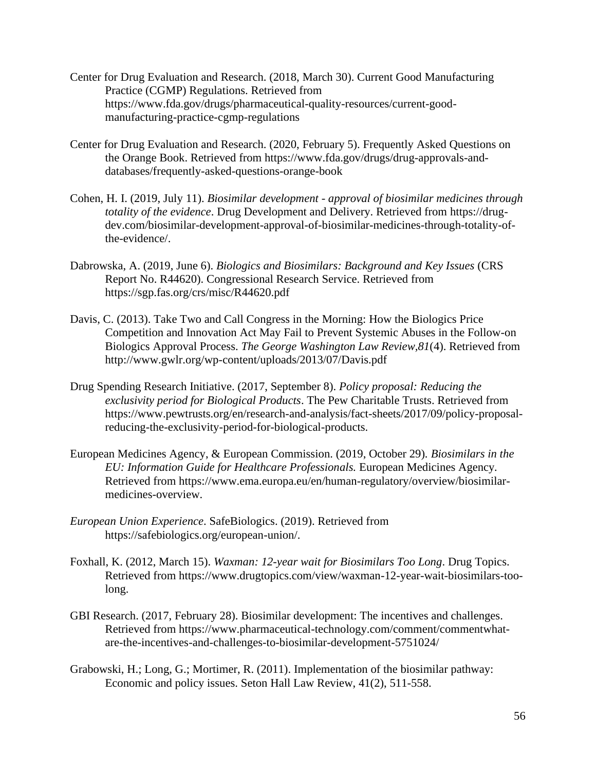- Center for Drug Evaluation and Research. (2018, March 30). Current Good Manufacturing Practice (CGMP) Regulations. Retrieved from https://www.fda.gov/drugs/pharmaceutical-quality-resources/current-goodmanufacturing-practice-cgmp-regulations
- Center for Drug Evaluation and Research. (2020, February 5). Frequently Asked Questions on the Orange Book. Retrieved from https://www.fda.gov/drugs/drug-approvals-anddatabases/frequently-asked-questions-orange-book
- Cohen, H. I. (2019, July 11). *Biosimilar development - approval of biosimilar medicines through totality of the evidence*. Drug Development and Delivery. Retrieved from https://drugdev.com/biosimilar-development-approval-of-biosimilar-medicines-through-totality-ofthe-evidence/.
- Dabrowska, A. (2019, June 6). *Biologics and Biosimilars: Background and Key Issues* (CRS Report No. R44620). Congressional Research Service. Retrieved from https://sgp.fas.org/crs/misc/R44620.pdf
- Davis, C. (2013). Take Two and Call Congress in the Morning: How the Biologics Price Competition and Innovation Act May Fail to Prevent Systemic Abuses in the Follow-on Biologics Approval Process. *The George Washington Law Review,81*(4). Retrieved from http://www.gwlr.org/wp-content/uploads/2013/07/Davis.pdf
- Drug Spending Research Initiative. (2017, September 8). *Policy proposal: Reducing the exclusivity period for Biological Products*. The Pew Charitable Trusts. Retrieved from https://www.pewtrusts.org/en/research-and-analysis/fact-sheets/2017/09/policy-proposalreducing-the-exclusivity-period-for-biological-products.
- European Medicines Agency, & European Commission. (2019, October 29)*. Biosimilars in the EU: Information Guide for Healthcare Professionals.* European Medicines Agency*.*  Retrieved from https://www.ema.europa.eu/en/human-regulatory/overview/biosimilarmedicines-overview.
- *European Union Experience*. SafeBiologics. (2019). Retrieved from https://safebiologics.org/european-union/.
- Foxhall, K. (2012, March 15). *Waxman: 12-year wait for Biosimilars Too Long*. Drug Topics. Retrieved from https://www.drugtopics.com/view/waxman-12-year-wait-biosimilars-toolong.
- GBI Research. (2017, February 28). Biosimilar development: The incentives and challenges. Retrieved from https://www.pharmaceutical-technology.com/comment/commentwhatare-the-incentives-and-challenges-to-biosimilar-development-5751024/
- Grabowski, H.; Long, G.; Mortimer, R. (2011). Implementation of the biosimilar pathway: Economic and policy issues. Seton Hall Law Review, 41(2), 511-558.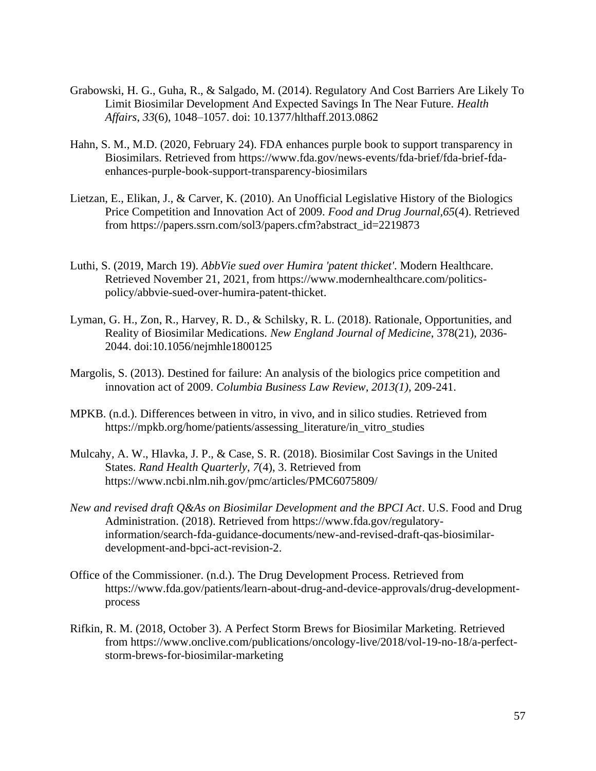- Grabowski, H. G., Guha, R., & Salgado, M. (2014). Regulatory And Cost Barriers Are Likely To Limit Biosimilar Development And Expected Savings In The Near Future. *Health Affairs*, *33*(6), 1048–1057. doi: 10.1377/hlthaff.2013.0862
- Hahn, S. M., M.D. (2020, February 24). FDA enhances purple book to support transparency in Biosimilars. Retrieved from https://www.fda.gov/news-events/fda-brief/fda-brief-fdaenhances-purple-book-support-transparency-biosimilars
- Lietzan, E., Elikan, J., & Carver, K. (2010). An Unofficial Legislative History of the Biologics Price Competition and Innovation Act of 2009. *Food and Drug Journal,65*(4). Retrieved from https://papers.ssrn.com/sol3/papers.cfm?abstract\_id=2219873
- Luthi, S. (2019, March 19). *AbbVie sued over Humira 'patent thicket'*. Modern Healthcare. Retrieved November 21, 2021, from https://www.modernhealthcare.com/politicspolicy/abbvie-sued-over-humira-patent-thicket.
- Lyman, G. H., Zon, R., Harvey, R. D., & Schilsky, R. L. (2018). Rationale, Opportunities, and Reality of Biosimilar Medications. *New England Journal of Medicine*, 378(21), 2036- 2044. doi:10.1056/nejmhle1800125
- Margolis, S. (2013). Destined for failure: An analysis of the biologics price competition and innovation act of 2009. *Columbia Business Law Review, 2013(1),* 209-241.
- MPKB. (n.d.). Differences between in vitro, in vivo, and in silico studies. Retrieved from https://mpkb.org/home/patients/assessing\_literature/in\_vitro\_studies
- Mulcahy, A. W., Hlavka, J. P., & Case, S. R. (2018). Biosimilar Cost Savings in the United States. *Rand Health Quarterly*, *7*(4), 3. Retrieved from https://www.ncbi.nlm.nih.gov/pmc/articles/PMC6075809/
- *New and revised draft Q&As on Biosimilar Development and the BPCI Act*. U.S. Food and Drug Administration. (2018). Retrieved from https://www.fda.gov/regulatoryinformation/search-fda-guidance-documents/new-and-revised-draft-qas-biosimilardevelopment-and-bpci-act-revision-2.
- Office of the Commissioner. (n.d.). The Drug Development Process. Retrieved from https://www.fda.gov/patients/learn-about-drug-and-device-approvals/drug-developmentprocess
- Rifkin, R. M. (2018, October 3). A Perfect Storm Brews for Biosimilar Marketing. Retrieved from https://www.onclive.com/publications/oncology-live/2018/vol-19-no-18/a-perfectstorm-brews-for-biosimilar-marketing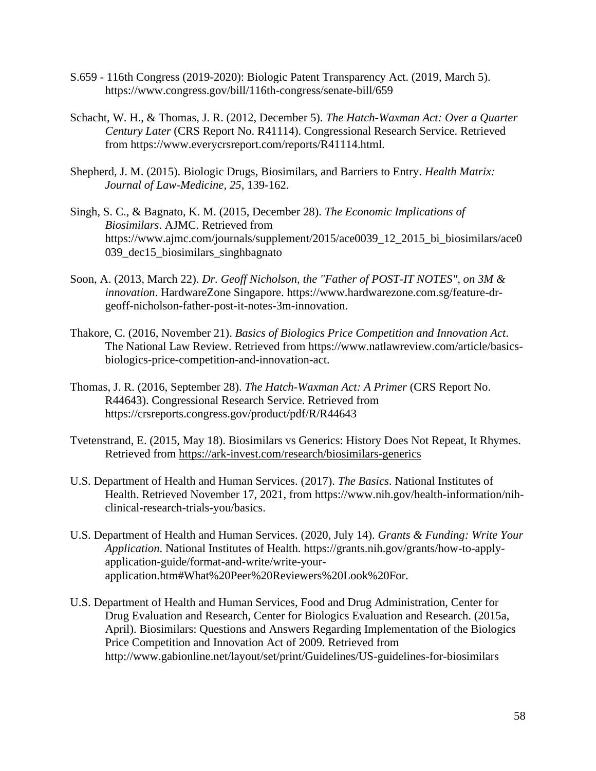- S.659 116th Congress (2019-2020): Biologic Patent Transparency Act. (2019, March 5). https://www.congress.gov/bill/116th-congress/senate-bill/659
- Schacht, W. H., & Thomas, J. R. (2012, December 5). *The Hatch-Waxman Act: Over a Quarter Century Later* (CRS Report No. R41114). Congressional Research Service. Retrieved from https://www.everycrsreport.com/reports/R41114.html.
- Shepherd, J. M. (2015). Biologic Drugs, Biosimilars, and Barriers to Entry. *Health Matrix: Journal of Law-Medicine, 25,* 139-162.
- Singh, S. C., & Bagnato, K. M. (2015, December 28). *The Economic Implications of Biosimilars*. AJMC. Retrieved from https://www.ajmc.com/journals/supplement/2015/ace0039\_12\_2015\_bi\_biosimilars/ace0 039\_dec15\_biosimilars\_singhbagnato
- Soon, A. (2013, March 22). *Dr. Geoff Nicholson, the "Father of POST-IT NOTES", on 3M & innovation*. HardwareZone Singapore. https://www.hardwarezone.com.sg/feature-drgeoff-nicholson-father-post-it-notes-3m-innovation.
- Thakore, C. (2016, November 21). *Basics of Biologics Price Competition and Innovation Act*. The National Law Review. Retrieved from https://www.natlawreview.com/article/basicsbiologics-price-competition-and-innovation-act.
- Thomas, J. R. (2016, September 28). *The Hatch-Waxman Act: A Primer* (CRS Report No. R44643). Congressional Research Service. Retrieved from https://crsreports.congress.gov/product/pdf/R/R44643
- Tvetenstrand, E. (2015, May 18). Biosimilars vs Generics: History Does Not Repeat, It Rhymes. Retrieved from<https://ark-invest.com/research/biosimilars-generics>
- U.S. Department of Health and Human Services. (2017). *The Basics*. National Institutes of Health. Retrieved November 17, 2021, from https://www.nih.gov/health-information/nihclinical-research-trials-you/basics.
- U.S. Department of Health and Human Services. (2020, July 14). *Grants & Funding: Write Your Application*. National Institutes of Health. https://grants.nih.gov/grants/how-to-applyapplication-guide/format-and-write/write-yourapplication.htm#What%20Peer%20Reviewers%20Look%20For.
- U.S. Department of Health and Human Services, Food and Drug Administration, Center for Drug Evaluation and Research, Center for Biologics Evaluation and Research. (2015a, April). Biosimilars: Questions and Answers Regarding Implementation of the Biologics Price Competition and Innovation Act of 2009. Retrieved from http://www.gabionline.net/layout/set/print/Guidelines/US-guidelines-for-biosimilars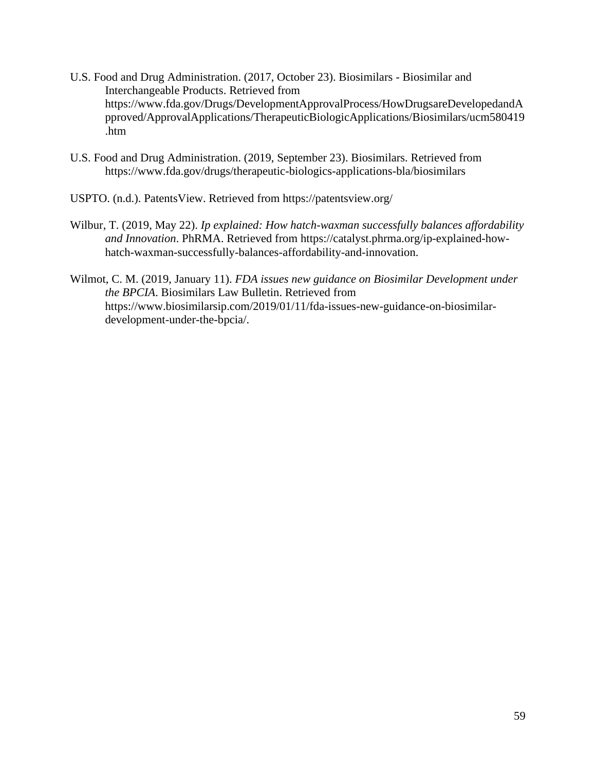- U.S. Food and Drug Administration. (2017, October 23). Biosimilars Biosimilar and Interchangeable Products. Retrieved from https://www.fda.gov/Drugs/DevelopmentApprovalProcess/HowDrugsareDevelopedandA pproved/ApprovalApplications/TherapeuticBiologicApplications/Biosimilars/ucm580419 .htm
- U.S. Food and Drug Administration. (2019, September 23). Biosimilars. Retrieved from https://www.fda.gov/drugs/therapeutic-biologics-applications-bla/biosimilars
- USPTO. (n.d.). PatentsView. Retrieved from https://patentsview.org/
- Wilbur, T. (2019, May 22). *Ip explained: How hatch-waxman successfully balances affordability and Innovation*. PhRMA. Retrieved from https://catalyst.phrma.org/ip-explained-howhatch-waxman-successfully-balances-affordability-and-innovation.
- Wilmot, C. M. (2019, January 11). *FDA issues new guidance on Biosimilar Development under the BPCIA*. Biosimilars Law Bulletin. Retrieved from https://www.biosimilarsip.com/2019/01/11/fda-issues-new-guidance-on-biosimilardevelopment-under-the-bpcia/.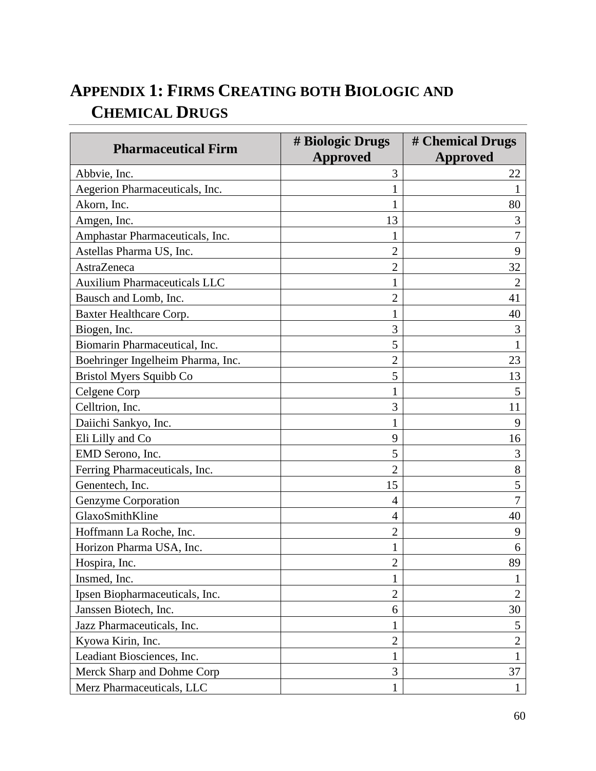# <span id="page-60-0"></span>**APPENDIX 1: FIRMS CREATING BOTH BIOLOGIC AND CHEMICAL DRUGS**

| <b>Pharmaceutical Firm</b>          | # Biologic Drugs | # Chemical Drugs |
|-------------------------------------|------------------|------------------|
|                                     | <b>Approved</b>  | <b>Approved</b>  |
| Abbvie, Inc.                        | 3                | 22               |
| Aegerion Pharmaceuticals, Inc.      | 1                | 1                |
| Akorn, Inc.                         | 1                | 80               |
| Amgen, Inc.                         | 13               | 3                |
| Amphastar Pharmaceuticals, Inc.     | 1                | 7                |
| Astellas Pharma US, Inc.            | $\overline{2}$   | 9                |
| AstraZeneca                         | $\overline{2}$   | 32               |
| <b>Auxilium Pharmaceuticals LLC</b> | 1                | $\overline{2}$   |
| Bausch and Lomb, Inc.               | $\overline{2}$   | 41               |
| Baxter Healthcare Corp.             | $\mathbf{1}$     | 40               |
| Biogen, Inc.                        | 3                | 3                |
| Biomarin Pharmaceutical, Inc.       | 5                |                  |
| Boehringer Ingelheim Pharma, Inc.   | $\overline{2}$   | 23               |
| Bristol Myers Squibb Co             | 5                | 13               |
| Celgene Corp                        | 1                | 5                |
| Celltrion, Inc.                     | 3                | 11               |
| Daiichi Sankyo, Inc.                | 1                | 9                |
| Eli Lilly and Co                    | 9                | 16               |
| EMD Serono, Inc.                    | 5                | 3                |
| Ferring Pharmaceuticals, Inc.       | $\overline{2}$   | 8                |
| Genentech, Inc.                     | 15               | 5                |
| Genzyme Corporation                 | 4                | 7                |
| GlaxoSmithKline                     | $\overline{4}$   | 40               |
| Hoffmann La Roche, Inc.             | 2                | 9                |
| Horizon Pharma USA, Inc.            | 1                | 6                |
| Hospira, Inc.                       | $\overline{2}$   | 89               |
| Insmed, Inc.                        | 1                |                  |
| Ipsen Biopharmaceuticals, Inc.      | $\overline{2}$   | $\overline{2}$   |
| Janssen Biotech, Inc.               | 6                | 30               |
| Jazz Pharmaceuticals, Inc.          | 1                | 5                |
| Kyowa Kirin, Inc.                   | $\overline{2}$   | $\overline{2}$   |
| Leadiant Biosciences, Inc.          | $\mathbf{1}$     | $\mathbf{1}$     |
| Merck Sharp and Dohme Corp          | 3                | 37               |
| Merz Pharmaceuticals, LLC           | $\mathbf{1}$     | $\mathbf{1}$     |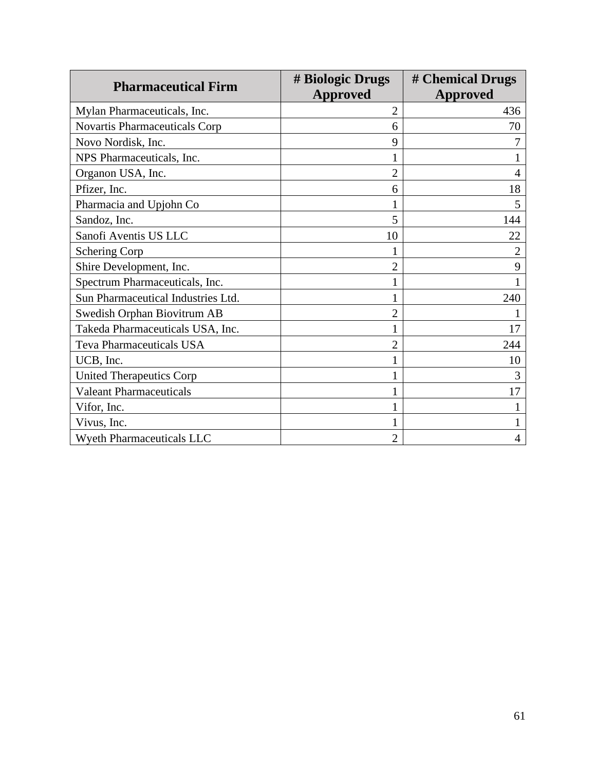|                                    | # Biologic Drugs | # Chemical Drugs |
|------------------------------------|------------------|------------------|
| <b>Pharmaceutical Firm</b>         | <b>Approved</b>  | Approved         |
| Mylan Pharmaceuticals, Inc.        | $\overline{2}$   | 436              |
| Novartis Pharmaceuticals Corp      | 6                | 70               |
| Novo Nordisk, Inc.                 | 9                |                  |
| NPS Pharmaceuticals, Inc.          |                  |                  |
| Organon USA, Inc.                  | $\overline{2}$   | 4                |
| Pfizer, Inc.                       | 6                | 18               |
| Pharmacia and Upjohn Co            |                  | 5                |
| Sandoz, Inc.                       | 5                | 144              |
| Sanofi Aventis US LLC              | 10               | 22               |
| <b>Schering Corp</b>               |                  | 2                |
| Shire Development, Inc.            | $\overline{2}$   | 9                |
| Spectrum Pharmaceuticals, Inc.     |                  |                  |
| Sun Pharmaceutical Industries Ltd. |                  | 240              |
| Swedish Orphan Biovitrum AB        | $\overline{2}$   |                  |
| Takeda Pharmaceuticals USA, Inc.   |                  | 17               |
| <b>Teva Pharmaceuticals USA</b>    | $\overline{2}$   | 244              |
| UCB, Inc.                          |                  | 10               |
| <b>United Therapeutics Corp</b>    |                  | 3                |
| <b>Valeant Pharmaceuticals</b>     |                  | 17               |
| Vifor, Inc.                        |                  |                  |
| Vivus, Inc.                        |                  |                  |
| <b>Wyeth Pharmaceuticals LLC</b>   | $\overline{2}$   | 4                |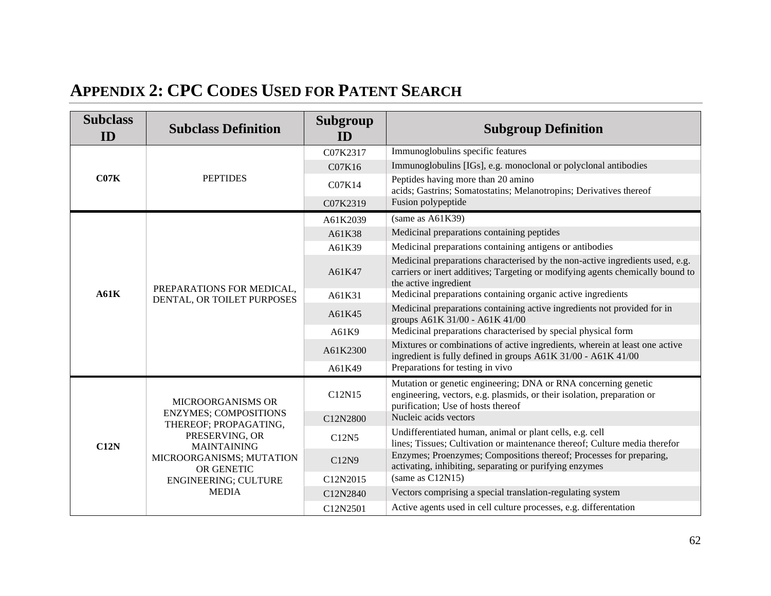# **APPENDIX 2: CPC CODES USED FOR PATENT SEARCH**

<span id="page-62-0"></span>

| <b>Subclass</b><br>ID | <b>Subclass Definition</b>                                                                                                                                                                                  | Subgroup<br>ID | <b>Subgroup Definition</b>                                                                                                                                                               |
|-----------------------|-------------------------------------------------------------------------------------------------------------------------------------------------------------------------------------------------------------|----------------|------------------------------------------------------------------------------------------------------------------------------------------------------------------------------------------|
|                       |                                                                                                                                                                                                             | C07K2317       | Immunoglobulins specific features                                                                                                                                                        |
|                       |                                                                                                                                                                                                             | C07K16         | Immunoglobulins [IGs], e.g. monoclonal or polyclonal antibodies                                                                                                                          |
| C07K                  | <b>PEPTIDES</b>                                                                                                                                                                                             | C07K14         | Peptides having more than 20 amino<br>acids; Gastrins; Somatostatins; Melanotropins; Derivatives thereof                                                                                 |
|                       |                                                                                                                                                                                                             | C07K2319       | Fusion polypeptide                                                                                                                                                                       |
|                       |                                                                                                                                                                                                             | A61K2039       | (same as A61K39)                                                                                                                                                                         |
|                       |                                                                                                                                                                                                             | A61K38         | Medicinal preparations containing peptides                                                                                                                                               |
|                       |                                                                                                                                                                                                             | A61K39         | Medicinal preparations containing antigens or antibodies                                                                                                                                 |
|                       | PREPARATIONS FOR MEDICAL,<br>DENTAL, OR TOILET PURPOSES                                                                                                                                                     | A61K47         | Medicinal preparations characterised by the non-active ingredients used, e.g.<br>carriers or inert additives; Targeting or modifying agents chemically bound to<br>the active ingredient |
| A61K                  |                                                                                                                                                                                                             | A61K31         | Medicinal preparations containing organic active ingredients                                                                                                                             |
|                       |                                                                                                                                                                                                             | A61K45         | Medicinal preparations containing active ingredients not provided for in<br>groups A61K 31/00 - A61K 41/00                                                                               |
|                       |                                                                                                                                                                                                             | A61K9          | Medicinal preparations characterised by special physical form                                                                                                                            |
|                       |                                                                                                                                                                                                             | A61K2300       | Mixtures or combinations of active ingredients, wherein at least one active<br>ingredient is fully defined in groups A61K 31/00 - A61K 41/00                                             |
|                       |                                                                                                                                                                                                             | A61K49         | Preparations for testing in vivo                                                                                                                                                         |
|                       | <b>MICROORGANISMS OR</b><br><b>ENZYMES; COMPOSITIONS</b><br>THEREOF; PROPAGATING,<br>PRESERVING, OR<br><b>MAINTAINING</b><br>MICROORGANISMS; MUTATION<br>OR GENETIC<br>ENGINEERING; CULTURE<br><b>MEDIA</b> | C12N15         | Mutation or genetic engineering; DNA or RNA concerning genetic<br>engineering, vectors, e.g. plasmids, or their isolation, preparation or<br>purification; Use of hosts thereof          |
|                       |                                                                                                                                                                                                             | C12N2800       | Nucleic acids vectors                                                                                                                                                                    |
| C12N                  |                                                                                                                                                                                                             | C12N5          | Undifferentiated human, animal or plant cells, e.g. cell<br>lines; Tissues; Cultivation or maintenance thereof; Culture media therefor                                                   |
|                       |                                                                                                                                                                                                             | C12N9          | Enzymes; Proenzymes; Compositions thereof; Processes for preparing,<br>activating, inhibiting, separating or purifying enzymes                                                           |
|                       |                                                                                                                                                                                                             | C12N2015       | (same as C12N15)                                                                                                                                                                         |
|                       |                                                                                                                                                                                                             | C12N2840       | Vectors comprising a special translation-regulating system                                                                                                                               |
|                       |                                                                                                                                                                                                             | C12N2501       | Active agents used in cell culture processes, e.g. differentation                                                                                                                        |